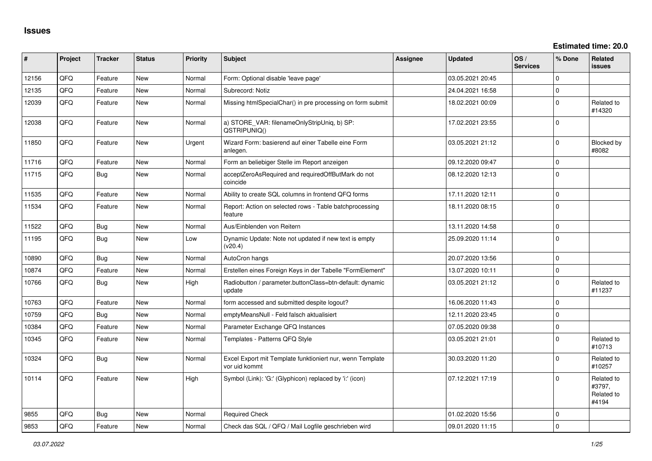**Estimated time: 20.0**

| #     | Project | <b>Tracker</b> | <b>Status</b> | <b>Priority</b> | <b>Subject</b>                                                             | Assignee | <b>Updated</b>   | OS/<br><b>Services</b> | % Done         | Related<br>issues                           |
|-------|---------|----------------|---------------|-----------------|----------------------------------------------------------------------------|----------|------------------|------------------------|----------------|---------------------------------------------|
| 12156 | QFQ     | Feature        | <b>New</b>    | Normal          | Form: Optional disable 'leave page'                                        |          | 03.05.2021 20:45 |                        | $\Omega$       |                                             |
| 12135 | QFQ     | Feature        | <b>New</b>    | Normal          | Subrecord: Notiz                                                           |          | 24.04.2021 16:58 |                        | $\mathbf 0$    |                                             |
| 12039 | QFQ     | Feature        | <b>New</b>    | Normal          | Missing htmlSpecialChar() in pre processing on form submit                 |          | 18.02.2021 00:09 |                        | $\Omega$       | Related to<br>#14320                        |
| 12038 | QFQ     | Feature        | <b>New</b>    | Normal          | a) STORE_VAR: filenameOnlyStripUniq, b) SP:<br>QSTRIPUNIQ()                |          | 17.02.2021 23:55 |                        | 0              |                                             |
| 11850 | QFQ     | Feature        | <b>New</b>    | Urgent          | Wizard Form: basierend auf einer Tabelle eine Form<br>anlegen.             |          | 03.05.2021 21:12 |                        | $\Omega$       | Blocked by<br>#8082                         |
| 11716 | QFQ     | Feature        | <b>New</b>    | Normal          | Form an beliebiger Stelle im Report anzeigen                               |          | 09.12.2020 09:47 |                        | $\mathbf 0$    |                                             |
| 11715 | QFQ     | Bug            | <b>New</b>    | Normal          | acceptZeroAsRequired and requiredOffButMark do not<br>coincide             |          | 08.12.2020 12:13 |                        | $\Omega$       |                                             |
| 11535 | QFQ     | Feature        | <b>New</b>    | Normal          | Ability to create SQL columns in frontend QFQ forms                        |          | 17.11.2020 12:11 |                        | $\Omega$       |                                             |
| 11534 | QFQ     | Feature        | <b>New</b>    | Normal          | Report: Action on selected rows - Table batchprocessing<br>feature         |          | 18.11.2020 08:15 |                        | 0              |                                             |
| 11522 | QFQ     | Bug            | <b>New</b>    | Normal          | Aus/Einblenden von Reitern                                                 |          | 13.11.2020 14:58 |                        | 0 I            |                                             |
| 11195 | QFQ     | <b>Bug</b>     | <b>New</b>    | Low             | Dynamic Update: Note not updated if new text is empty<br>(v20.4)           |          | 25.09.2020 11:14 |                        | $\Omega$       |                                             |
| 10890 | QFQ     | Bug            | <b>New</b>    | Normal          | AutoCron hangs                                                             |          | 20.07.2020 13:56 |                        | $\Omega$       |                                             |
| 10874 | QFQ     | Feature        | <b>New</b>    | Normal          | Erstellen eines Foreign Keys in der Tabelle "FormElement"                  |          | 13.07.2020 10:11 |                        | $\mathbf 0$    |                                             |
| 10766 | QFQ     | Bug            | <b>New</b>    | High            | Radiobutton / parameter.buttonClass=btn-default: dynamic<br>update         |          | 03.05.2021 21:12 |                        | $\Omega$       | Related to<br>#11237                        |
| 10763 | QFQ     | Feature        | <b>New</b>    | Normal          | form accessed and submitted despite logout?                                |          | 16.06.2020 11:43 |                        | $\overline{0}$ |                                             |
| 10759 | QFQ     | Bug            | <b>New</b>    | Normal          | emptyMeansNull - Feld falsch aktualisiert                                  |          | 12.11.2020 23:45 |                        | 0              |                                             |
| 10384 | QFQ     | Feature        | <b>New</b>    | Normal          | Parameter Exchange QFQ Instances                                           |          | 07.05.2020 09:38 |                        | $\mathbf 0$    |                                             |
| 10345 | QFQ     | Feature        | <b>New</b>    | Normal          | Templates - Patterns QFQ Style                                             |          | 03.05.2021 21:01 |                        | $\Omega$       | Related to<br>#10713                        |
| 10324 | QFQ     | <b>Bug</b>     | <b>New</b>    | Normal          | Excel Export mit Template funktioniert nur, wenn Template<br>vor uid kommt |          | 30.03.2020 11:20 |                        | $\Omega$       | Related to<br>#10257                        |
| 10114 | QFQ     | Feature        | <b>New</b>    | High            | Symbol (Link): 'G:' (Glyphicon) replaced by 'i:' (icon)                    |          | 07.12.2021 17:19 |                        | $\Omega$       | Related to<br>#3797,<br>Related to<br>#4194 |
| 9855  | QFQ     | Bug            | <b>New</b>    | Normal          | <b>Required Check</b>                                                      |          | 01.02.2020 15:56 |                        | $\Omega$       |                                             |
| 9853  | QFQ     | Feature        | <b>New</b>    | Normal          | Check das SQL / QFQ / Mail Logfile geschrieben wird                        |          | 09.01.2020 11:15 |                        | 0              |                                             |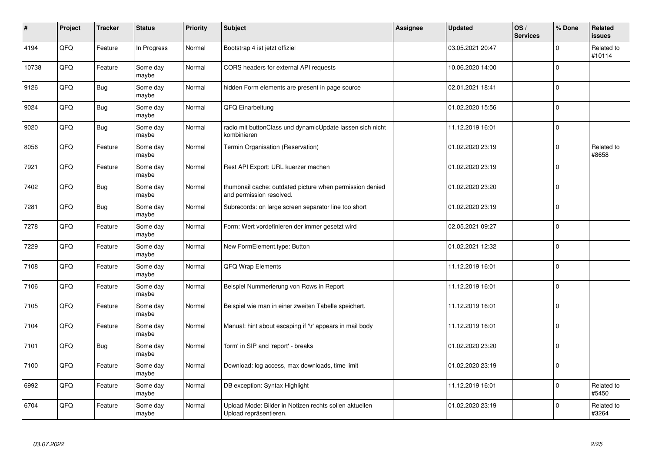| #     | Project | <b>Tracker</b> | <b>Status</b>     | <b>Priority</b> | Subject                                                                              | Assignee | <b>Updated</b>   | OS/<br><b>Services</b> | % Done      | Related<br><b>issues</b> |
|-------|---------|----------------|-------------------|-----------------|--------------------------------------------------------------------------------------|----------|------------------|------------------------|-------------|--------------------------|
| 4194  | QFQ     | Feature        | In Progress       | Normal          | Bootstrap 4 ist jetzt offiziel                                                       |          | 03.05.2021 20:47 |                        | $\Omega$    | Related to<br>#10114     |
| 10738 | QFQ     | Feature        | Some day<br>maybe | Normal          | CORS headers for external API requests                                               |          | 10.06.2020 14:00 |                        | $\mathbf 0$ |                          |
| 9126  | QFQ     | Bug            | Some day<br>maybe | Normal          | hidden Form elements are present in page source                                      |          | 02.01.2021 18:41 |                        | $\Omega$    |                          |
| 9024  | QFQ     | Bug            | Some day<br>maybe | Normal          | QFQ Einarbeitung                                                                     |          | 01.02.2020 15:56 |                        | $\Omega$    |                          |
| 9020  | QFQ     | <b>Bug</b>     | Some day<br>maybe | Normal          | radio mit buttonClass und dynamicUpdate lassen sich nicht<br>kombinieren             |          | 11.12.2019 16:01 |                        | $\mathbf 0$ |                          |
| 8056  | QFQ     | Feature        | Some day<br>maybe | Normal          | Termin Organisation (Reservation)                                                    |          | 01.02.2020 23:19 |                        | $\Omega$    | Related to<br>#8658      |
| 7921  | QFQ     | Feature        | Some day<br>maybe | Normal          | Rest API Export: URL kuerzer machen                                                  |          | 01.02.2020 23:19 |                        | $\Omega$    |                          |
| 7402  | QFQ     | Bug            | Some day<br>maybe | Normal          | thumbnail cache: outdated picture when permission denied<br>and permission resolved. |          | 01.02.2020 23:20 |                        | $\Omega$    |                          |
| 7281  | QFQ     | Bug            | Some day<br>maybe | Normal          | Subrecords: on large screen separator line too short                                 |          | 01.02.2020 23:19 |                        | $\Omega$    |                          |
| 7278  | QFQ     | Feature        | Some day<br>maybe | Normal          | Form: Wert vordefinieren der immer gesetzt wird                                      |          | 02.05.2021 09:27 |                        | $\Omega$    |                          |
| 7229  | QFQ     | Feature        | Some day<br>maybe | Normal          | New FormElement.type: Button                                                         |          | 01.02.2021 12:32 |                        | $\Omega$    |                          |
| 7108  | QFQ     | Feature        | Some day<br>maybe | Normal          | <b>QFQ Wrap Elements</b>                                                             |          | 11.12.2019 16:01 |                        | $\Omega$    |                          |
| 7106  | QFQ     | Feature        | Some day<br>maybe | Normal          | Beispiel Nummerierung von Rows in Report                                             |          | 11.12.2019 16:01 |                        | $\mathbf 0$ |                          |
| 7105  | QFQ     | Feature        | Some day<br>maybe | Normal          | Beispiel wie man in einer zweiten Tabelle speichert.                                 |          | 11.12.2019 16:01 |                        | $\mathbf 0$ |                          |
| 7104  | QFQ     | Feature        | Some day<br>maybe | Normal          | Manual: hint about escaping if '\r' appears in mail body                             |          | 11.12.2019 16:01 |                        | $\Omega$    |                          |
| 7101  | QFQ     | Bug            | Some day<br>maybe | Normal          | 'form' in SIP and 'report' - breaks                                                  |          | 01.02.2020 23:20 |                        | $\Omega$    |                          |
| 7100  | QFQ     | Feature        | Some day<br>maybe | Normal          | Download: log access, max downloads, time limit                                      |          | 01.02.2020 23:19 |                        | $\Omega$    |                          |
| 6992  | QFG     | Feature        | Some day<br>maybe | Normal          | DB exception: Syntax Highlight                                                       |          | 11.12.2019 16:01 |                        | $\Omega$    | Related to<br>#5450      |
| 6704  | QFQ     | Feature        | Some day<br>maybe | Normal          | Upload Mode: Bilder in Notizen rechts sollen aktuellen<br>Upload repräsentieren.     |          | 01.02.2020 23:19 |                        | $\Omega$    | Related to<br>#3264      |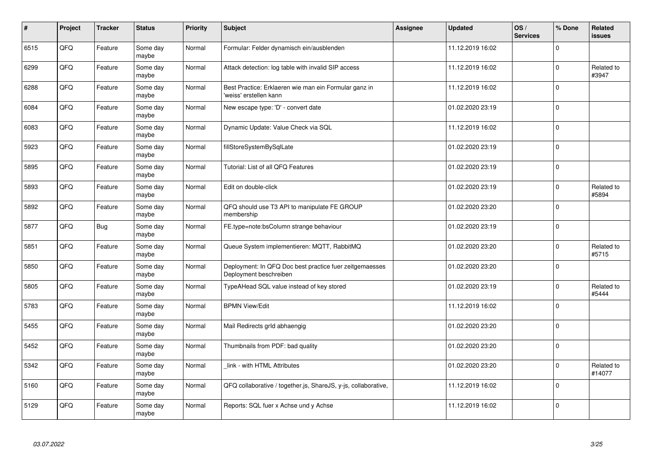| $\vert$ # | Project | <b>Tracker</b> | <b>Status</b>     | <b>Priority</b> | <b>Subject</b>                                                                    | Assignee | <b>Updated</b>   | OS/<br><b>Services</b> | % Done      | Related<br><b>issues</b> |
|-----------|---------|----------------|-------------------|-----------------|-----------------------------------------------------------------------------------|----------|------------------|------------------------|-------------|--------------------------|
| 6515      | QFQ     | Feature        | Some day<br>maybe | Normal          | Formular: Felder dynamisch ein/ausblenden                                         |          | 11.12.2019 16:02 |                        | $\Omega$    |                          |
| 6299      | QFQ     | Feature        | Some day<br>maybe | Normal          | Attack detection: log table with invalid SIP access                               |          | 11.12.2019 16:02 |                        | $\Omega$    | Related to<br>#3947      |
| 6288      | QFQ     | Feature        | Some day<br>maybe | Normal          | Best Practice: Erklaeren wie man ein Formular ganz in<br>'weiss' erstellen kann   |          | 11.12.2019 16:02 |                        | $\Omega$    |                          |
| 6084      | QFQ     | Feature        | Some day<br>maybe | Normal          | New escape type: 'D' - convert date                                               |          | 01.02.2020 23:19 |                        | $\Omega$    |                          |
| 6083      | QFQ     | Feature        | Some day<br>maybe | Normal          | Dynamic Update: Value Check via SQL                                               |          | 11.12.2019 16:02 |                        | $\mathbf 0$ |                          |
| 5923      | QFQ     | Feature        | Some day<br>maybe | Normal          | fillStoreSystemBySqlLate                                                          |          | 01.02.2020 23:19 |                        | $\Omega$    |                          |
| 5895      | QFQ     | Feature        | Some day<br>maybe | Normal          | Tutorial: List of all QFQ Features                                                |          | 01.02.2020 23:19 |                        | $\Omega$    |                          |
| 5893      | QFQ     | Feature        | Some day<br>maybe | Normal          | Edit on double-click                                                              |          | 01.02.2020 23:19 |                        | $\Omega$    | Related to<br>#5894      |
| 5892      | QFQ     | Feature        | Some day<br>maybe | Normal          | QFQ should use T3 API to manipulate FE GROUP<br>membership                        |          | 01.02.2020 23:20 |                        | $\Omega$    |                          |
| 5877      | QFQ     | Bug            | Some day<br>maybe | Normal          | FE.type=note:bsColumn strange behaviour                                           |          | 01.02.2020 23:19 |                        | $\Omega$    |                          |
| 5851      | QFQ     | Feature        | Some day<br>maybe | Normal          | Queue System implementieren: MQTT, RabbitMQ                                       |          | 01.02.2020 23:20 |                        | 0           | Related to<br>#5715      |
| 5850      | QFQ     | Feature        | Some day<br>maybe | Normal          | Deployment: In QFQ Doc best practice fuer zeitgemaesses<br>Deployment beschreiben |          | 01.02.2020 23:20 |                        | $\mathbf 0$ |                          |
| 5805      | QFQ     | Feature        | Some day<br>maybe | Normal          | TypeAHead SQL value instead of key stored                                         |          | 01.02.2020 23:19 |                        | $\Omega$    | Related to<br>#5444      |
| 5783      | QFQ     | Feature        | Some day<br>maybe | Normal          | <b>BPMN View/Edit</b>                                                             |          | 11.12.2019 16:02 |                        | $\mathbf 0$ |                          |
| 5455      | QFQ     | Feature        | Some day<br>maybe | Normal          | Mail Redirects grld abhaengig                                                     |          | 01.02.2020 23:20 |                        | $\Omega$    |                          |
| 5452      | QFQ     | Feature        | Some day<br>maybe | Normal          | Thumbnails from PDF: bad quality                                                  |          | 01.02.2020 23:20 |                        | $\Omega$    |                          |
| 5342      | QFQ     | Feature        | Some day<br>maybe | Normal          | link - with HTML Attributes                                                       |          | 01.02.2020 23:20 |                        | $\Omega$    | Related to<br>#14077     |
| 5160      | QFQ     | Feature        | Some day<br>maybe | Normal          | QFQ collaborative / together.js, ShareJS, y-js, collaborative,                    |          | 11.12.2019 16:02 |                        | $\Omega$    |                          |
| 5129      | QFQ     | Feature        | Some day<br>maybe | Normal          | Reports: SQL fuer x Achse und y Achse                                             |          | 11.12.2019 16:02 |                        | $\Omega$    |                          |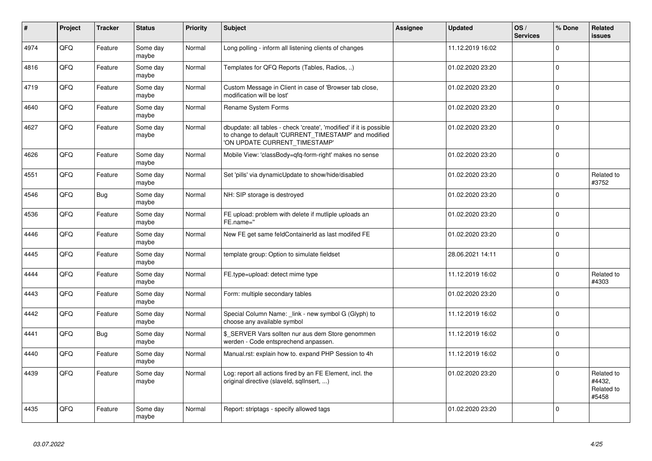| #    | Project | <b>Tracker</b> | <b>Status</b>     | <b>Priority</b> | <b>Subject</b>                                                                                                                                                | <b>Assignee</b> | <b>Updated</b>   | OS/<br><b>Services</b> | % Done         | Related<br>issues                           |
|------|---------|----------------|-------------------|-----------------|---------------------------------------------------------------------------------------------------------------------------------------------------------------|-----------------|------------------|------------------------|----------------|---------------------------------------------|
| 4974 | QFQ     | Feature        | Some day<br>maybe | Normal          | Long polling - inform all listening clients of changes                                                                                                        |                 | 11.12.2019 16:02 |                        | $\Omega$       |                                             |
| 4816 | QFQ     | Feature        | Some day<br>maybe | Normal          | Templates for QFQ Reports (Tables, Radios, )                                                                                                                  |                 | 01.02.2020 23:20 |                        | $\mathbf 0$    |                                             |
| 4719 | QFQ     | Feature        | Some day<br>maybe | Normal          | Custom Message in Client in case of 'Browser tab close,<br>modification will be lost'                                                                         |                 | 01.02.2020 23:20 |                        | 0              |                                             |
| 4640 | QFQ     | Feature        | Some day<br>maybe | Normal          | Rename System Forms                                                                                                                                           |                 | 01.02.2020 23:20 |                        | $\mathbf 0$    |                                             |
| 4627 | QFQ     | Feature        | Some day<br>maybe | Normal          | dbupdate: all tables - check 'create', 'modified' if it is possible<br>to change to default 'CURRENT_TIMESTAMP' and modified<br>'ON UPDATE CURRENT TIMESTAMP' |                 | 01.02.2020 23:20 |                        | $\Omega$       |                                             |
| 4626 | QFQ     | Feature        | Some day<br>maybe | Normal          | Mobile View: 'classBody=qfq-form-right' makes no sense                                                                                                        |                 | 01.02.2020 23:20 |                        | $\Omega$       |                                             |
| 4551 | QFQ     | Feature        | Some day<br>maybe | Normal          | Set 'pills' via dynamicUpdate to show/hide/disabled                                                                                                           |                 | 01.02.2020 23:20 |                        | $\mathbf 0$    | Related to<br>#3752                         |
| 4546 | QFQ     | Bug            | Some day<br>maybe | Normal          | NH: SIP storage is destroyed                                                                                                                                  |                 | 01.02.2020 23:20 |                        | $\mathbf 0$    |                                             |
| 4536 | QFQ     | Feature        | Some day<br>maybe | Normal          | FE upload: problem with delete if mutliple uploads an<br>FE.name="                                                                                            |                 | 01.02.2020 23:20 |                        | $\mathbf 0$    |                                             |
| 4446 | QFQ     | Feature        | Some day<br>maybe | Normal          | New FE get same feldContainerId as last modifed FE                                                                                                            |                 | 01.02.2020 23:20 |                        | $\mathbf 0$    |                                             |
| 4445 | QFQ     | Feature        | Some day<br>maybe | Normal          | template group: Option to simulate fieldset                                                                                                                   |                 | 28.06.2021 14:11 |                        | $\Omega$       |                                             |
| 4444 | QFQ     | Feature        | Some day<br>maybe | Normal          | FE.type=upload: detect mime type                                                                                                                              |                 | 11.12.2019 16:02 |                        | $\Omega$       | Related to<br>#4303                         |
| 4443 | QFQ     | Feature        | Some day<br>maybe | Normal          | Form: multiple secondary tables                                                                                                                               |                 | 01.02.2020 23:20 |                        | $\Omega$       |                                             |
| 4442 | QFQ     | Feature        | Some day<br>maybe | Normal          | Special Column Name: link - new symbol G (Glyph) to<br>choose any available symbol                                                                            |                 | 11.12.2019 16:02 |                        | $\Omega$       |                                             |
| 4441 | QFQ     | Bug            | Some day<br>maybe | Normal          | \$_SERVER Vars sollten nur aus dem Store genommen<br>werden - Code entsprechend anpassen.                                                                     |                 | 11.12.2019 16:02 |                        | $\Omega$       |                                             |
| 4440 | QFQ     | Feature        | Some day<br>maybe | Normal          | Manual.rst: explain how to. expand PHP Session to 4h                                                                                                          |                 | 11.12.2019 16:02 |                        | $\Omega$       |                                             |
| 4439 | QFQ     | Feature        | Some day<br>maybe | Normal          | Log: report all actions fired by an FE Element, incl. the<br>original directive (slaveld, sqllnsert, )                                                        |                 | 01.02.2020 23:20 |                        | $\Omega$       | Related to<br>#4432,<br>Related to<br>#5458 |
| 4435 | QFQ     | Feature        | Some day<br>maybe | Normal          | Report: striptags - specify allowed tags                                                                                                                      |                 | 01.02.2020 23:20 |                        | $\overline{0}$ |                                             |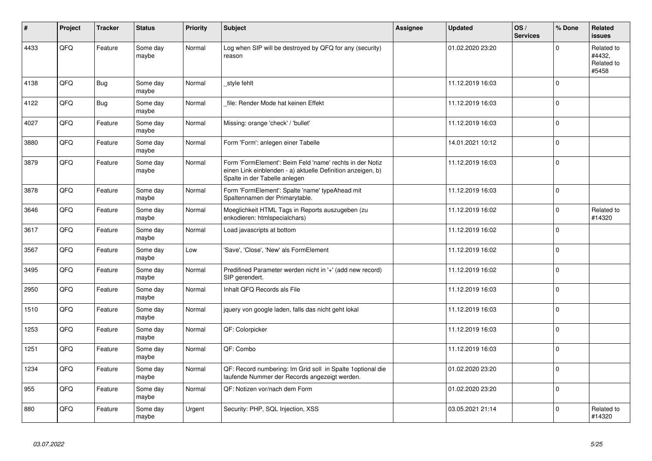| $\vert$ # | Project | <b>Tracker</b> | <b>Status</b>     | <b>Priority</b> | <b>Subject</b>                                                                                                                                           | <b>Assignee</b> | <b>Updated</b>   | OS/<br><b>Services</b> | % Done      | Related<br><b>issues</b>                    |
|-----------|---------|----------------|-------------------|-----------------|----------------------------------------------------------------------------------------------------------------------------------------------------------|-----------------|------------------|------------------------|-------------|---------------------------------------------|
| 4433      | QFQ     | Feature        | Some day<br>maybe | Normal          | Log when SIP will be destroyed by QFQ for any (security)<br>reason                                                                                       |                 | 01.02.2020 23:20 |                        | $\Omega$    | Related to<br>#4432.<br>Related to<br>#5458 |
| 4138      | QFQ     | Bug            | Some day<br>maybe | Normal          | style fehlt                                                                                                                                              |                 | 11.12.2019 16:03 |                        | $\Omega$    |                                             |
| 4122      | QFQ     | Bug            | Some day<br>maybe | Normal          | file: Render Mode hat keinen Effekt                                                                                                                      |                 | 11.12.2019 16:03 |                        | $\Omega$    |                                             |
| 4027      | QFQ     | Feature        | Some day<br>maybe | Normal          | Missing: orange 'check' / 'bullet'                                                                                                                       |                 | 11.12.2019 16:03 |                        | $\Omega$    |                                             |
| 3880      | QFQ     | Feature        | Some day<br>maybe | Normal          | Form 'Form': anlegen einer Tabelle                                                                                                                       |                 | 14.01.2021 10:12 |                        | 0           |                                             |
| 3879      | QFQ     | Feature        | Some day<br>maybe | Normal          | Form 'FormElement': Beim Feld 'name' rechts in der Notiz<br>einen Link einblenden - a) aktuelle Definition anzeigen, b)<br>Spalte in der Tabelle anlegen |                 | 11.12.2019 16:03 |                        | $\mathbf 0$ |                                             |
| 3878      | QFQ     | Feature        | Some day<br>maybe | Normal          | Form 'FormElement': Spalte 'name' typeAhead mit<br>Spaltennamen der Primarytable.                                                                        |                 | 11.12.2019 16:03 |                        | $\Omega$    |                                             |
| 3646      | QFQ     | Feature        | Some day<br>maybe | Normal          | Moeglichkeit HTML Tags in Reports auszugeben (zu<br>enkodieren: htmlspecialchars)                                                                        |                 | 11.12.2019 16:02 |                        | $\Omega$    | Related to<br>#14320                        |
| 3617      | QFQ     | Feature        | Some day<br>maybe | Normal          | Load javascripts at bottom                                                                                                                               |                 | 11.12.2019 16:02 |                        | $\Omega$    |                                             |
| 3567      | QFQ     | Feature        | Some day<br>maybe | Low             | 'Save', 'Close', 'New' als FormElement                                                                                                                   |                 | 11.12.2019 16:02 |                        | $\Omega$    |                                             |
| 3495      | QFQ     | Feature        | Some day<br>maybe | Normal          | Predifined Parameter werden nicht in '+' (add new record)<br>SIP gerendert.                                                                              |                 | 11.12.2019 16:02 |                        | $\mathbf 0$ |                                             |
| 2950      | QFQ     | Feature        | Some day<br>maybe | Normal          | Inhalt QFQ Records als File                                                                                                                              |                 | 11.12.2019 16:03 |                        | $\Omega$    |                                             |
| 1510      | QFQ     | Feature        | Some day<br>maybe | Normal          | jquery von google laden, falls das nicht geht lokal                                                                                                      |                 | 11.12.2019 16:03 |                        | $\Omega$    |                                             |
| 1253      | QFQ     | Feature        | Some day<br>maybe | Normal          | QF: Colorpicker                                                                                                                                          |                 | 11.12.2019 16:03 |                        | $\Omega$    |                                             |
| 1251      | QFQ     | Feature        | Some day<br>maybe | Normal          | QF: Combo                                                                                                                                                |                 | 11.12.2019 16:03 |                        | $\Omega$    |                                             |
| 1234      | QFQ     | Feature        | Some day<br>maybe | Normal          | QF: Record numbering: Im Grid soll in Spalte 1 optional die<br>laufende Nummer der Records angezeigt werden.                                             |                 | 01.02.2020 23:20 |                        | $\Omega$    |                                             |
| 955       | QFQ     | Feature        | Some day<br>maybe | Normal          | QF: Notizen vor/nach dem Form                                                                                                                            |                 | 01.02.2020 23:20 |                        | $\mathbf 0$ |                                             |
| 880       | QFQ     | Feature        | Some day<br>maybe | Urgent          | Security: PHP, SQL Injection, XSS                                                                                                                        |                 | 03.05.2021 21:14 |                        | $\Omega$    | Related to<br>#14320                        |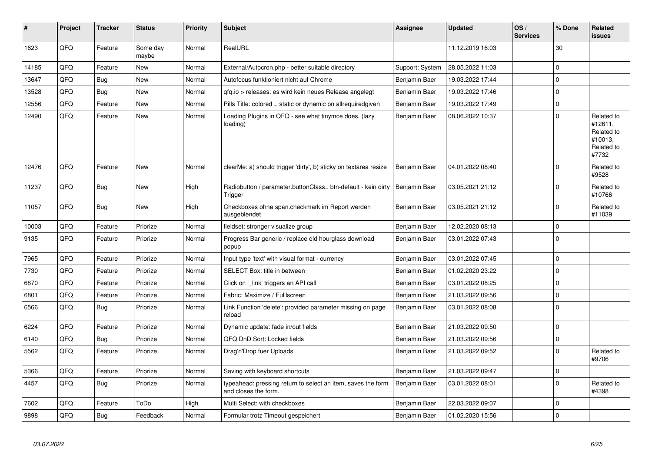| #     | Project | <b>Tracker</b> | <b>Status</b>     | <b>Priority</b> | <b>Subject</b>                                                                       | Assignee        | <b>Updated</b>   | OS/<br><b>Services</b> | % Done      | Related<br><b>issues</b>                                              |
|-------|---------|----------------|-------------------|-----------------|--------------------------------------------------------------------------------------|-----------------|------------------|------------------------|-------------|-----------------------------------------------------------------------|
| 1623  | QFQ     | Feature        | Some day<br>maybe | Normal          | RealURL                                                                              |                 | 11.12.2019 16:03 |                        | 30          |                                                                       |
| 14185 | QFQ     | Feature        | <b>New</b>        | Normal          | External/Autocron.php - better suitable directory                                    | Support: System | 28.05.2022 11:03 |                        | $\mathbf 0$ |                                                                       |
| 13647 | QFQ     | Bug            | <b>New</b>        | Normal          | Autofocus funktioniert nicht auf Chrome                                              | Benjamin Baer   | 19.03.2022 17:44 |                        | $\Omega$    |                                                                       |
| 13528 | QFQ     | <b>Bug</b>     | <b>New</b>        | Normal          | gfg.io > releases: es wird kein neues Release angelegt                               | Benjamin Baer   | 19.03.2022 17:46 |                        | $\Omega$    |                                                                       |
| 12556 | QFQ     | Feature        | <b>New</b>        | Normal          | Pills Title: colored = static or dynamic on allrequiredgiven                         | Benjamin Baer   | 19.03.2022 17:49 |                        | $\mathbf 0$ |                                                                       |
| 12490 | QFQ     | Feature        | New               | Normal          | Loading Plugins in QFQ - see what tinymce does. (lazy<br>loading)                    | Benjamin Baer   | 08.06.2022 10:37 |                        | $\Omega$    | Related to<br>#12611,<br>Related to<br>#10013.<br>Related to<br>#7732 |
| 12476 | QFQ     | Feature        | <b>New</b>        | Normal          | clearMe: a) should trigger 'dirty', b) sticky on textarea resize                     | Benjamin Baer   | 04.01.2022 08:40 |                        | $\Omega$    | Related to<br>#9528                                                   |
| 11237 | QFQ     | Bug            | <b>New</b>        | High            | Radiobutton / parameter.buttonClass= btn-default - kein dirty<br>Trigger             | Benjamin Baer   | 03.05.2021 21:12 |                        | $\Omega$    | Related to<br>#10766                                                  |
| 11057 | QFQ     | Bug            | <b>New</b>        | High            | Checkboxes ohne span.checkmark im Report werden<br>ausgeblendet                      | Benjamin Baer   | 03.05.2021 21:12 |                        | $\Omega$    | Related to<br>#11039                                                  |
| 10003 | QFQ     | Feature        | Priorize          | Normal          | fieldset: stronger visualize group                                                   | Benjamin Baer   | 12.02.2020 08:13 |                        | $\mathbf 0$ |                                                                       |
| 9135  | QFQ     | Feature        | Priorize          | Normal          | Progress Bar generic / replace old hourglass download<br>popup                       | Benjamin Baer   | 03.01.2022 07:43 |                        | $\Omega$    |                                                                       |
| 7965  | QFQ     | Feature        | Priorize          | Normal          | Input type 'text' with visual format - currency                                      | Benjamin Baer   | 03.01.2022 07:45 |                        | $\Omega$    |                                                                       |
| 7730  | QFQ     | Feature        | Priorize          | Normal          | SELECT Box: title in between                                                         | Benjamin Baer   | 01.02.2020 23:22 |                        | $\mathbf 0$ |                                                                       |
| 6870  | QFQ     | Feature        | Priorize          | Normal          | Click on '_link' triggers an API call                                                | Benjamin Baer   | 03.01.2022 08:25 |                        | $\Omega$    |                                                                       |
| 6801  | QFQ     | Feature        | Priorize          | Normal          | Fabric: Maximize / Fulllscreen                                                       | Benjamin Baer   | 21.03.2022 09:56 |                        | $\mathbf 0$ |                                                                       |
| 6566  | QFQ     | Bug            | Priorize          | Normal          | Link Function 'delete': provided parameter missing on page<br>reload                 | Benjamin Baer   | 03.01.2022 08:08 |                        | $\Omega$    |                                                                       |
| 6224  | QFQ     | Feature        | Priorize          | Normal          | Dynamic update: fade in/out fields                                                   | Benjamin Baer   | 21.03.2022 09:50 |                        | $\Omega$    |                                                                       |
| 6140  | QFQ     | <b>Bug</b>     | Priorize          | Normal          | QFQ DnD Sort: Locked fields                                                          | Benjamin Baer   | 21.03.2022 09:56 |                        | $\mathbf 0$ |                                                                       |
| 5562  | QFQ     | Feature        | Priorize          | Normal          | Drag'n'Drop fuer Uploads                                                             | Benjamin Baer   | 21.03.2022 09:52 |                        | $\Omega$    | Related to<br>#9706                                                   |
| 5366  | QFQ     | Feature        | Priorize          | Normal          | Saving with keyboard shortcuts                                                       | Benjamin Baer   | 21.03.2022 09:47 |                        | $\mathbf 0$ |                                                                       |
| 4457  | QFQ     | Bug            | Priorize          | Normal          | typeahead: pressing return to select an item, saves the form<br>and closes the form. | Benjamin Baer   | 03.01.2022 08:01 |                        | $\Omega$    | Related to<br>#4398                                                   |
| 7602  | QFQ     | Feature        | ToDo              | High            | Multi Select: with checkboxes                                                        | Benjamin Baer   | 22.03.2022 09:07 |                        | $\Omega$    |                                                                       |
| 9898  | QFQ     | Bug            | Feedback          | Normal          | Formular trotz Timeout gespeichert                                                   | Benjamin Baer   | 01.02.2020 15:56 |                        | $\mathbf 0$ |                                                                       |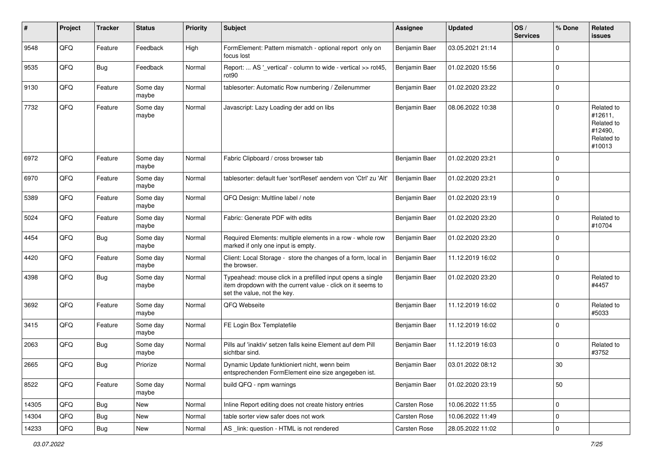| ∦     | Project | <b>Tracker</b> | <b>Status</b>     | <b>Priority</b> | <b>Subject</b>                                                                                                                                           | Assignee      | <b>Updated</b>   | OS/<br><b>Services</b> | % Done      | Related<br><b>issues</b>                                               |
|-------|---------|----------------|-------------------|-----------------|----------------------------------------------------------------------------------------------------------------------------------------------------------|---------------|------------------|------------------------|-------------|------------------------------------------------------------------------|
| 9548  | QFQ     | Feature        | Feedback          | High            | FormElement: Pattern mismatch - optional report only on<br>focus lost                                                                                    | Benjamin Baer | 03.05.2021 21:14 |                        | $\Omega$    |                                                                        |
| 9535  | QFQ     | <b>Bug</b>     | Feedback          | Normal          | Report:  AS '_vertical' - column to wide - vertical >> rot45,<br>rot <sub>90</sub>                                                                       | Benjamin Baer | 01.02.2020 15:56 |                        | $\mathbf 0$ |                                                                        |
| 9130  | QFQ     | Feature        | Some day<br>maybe | Normal          | tablesorter: Automatic Row numbering / Zeilenummer                                                                                                       | Benjamin Baer | 01.02.2020 23:22 |                        | $\Omega$    |                                                                        |
| 7732  | QFQ     | Feature        | Some day<br>maybe | Normal          | Javascript: Lazy Loading der add on libs                                                                                                                 | Benjamin Baer | 08.06.2022 10:38 |                        | $\Omega$    | Related to<br>#12611,<br>Related to<br>#12490,<br>Related to<br>#10013 |
| 6972  | QFQ     | Feature        | Some day<br>maybe | Normal          | Fabric Clipboard / cross browser tab                                                                                                                     | Benjamin Baer | 01.02.2020 23:21 |                        | $\Omega$    |                                                                        |
| 6970  | QFQ     | Feature        | Some day<br>maybe | Normal          | tablesorter: default fuer 'sortReset' aendern von 'Ctrl' zu 'Alt'                                                                                        | Benjamin Baer | 01.02.2020 23:21 |                        | $\mathbf 0$ |                                                                        |
| 5389  | QFQ     | Feature        | Some day<br>maybe | Normal          | QFQ Design: Multline label / note                                                                                                                        | Benjamin Baer | 01.02.2020 23:19 |                        | $\mathbf 0$ |                                                                        |
| 5024  | QFQ     | Feature        | Some day<br>maybe | Normal          | Fabric: Generate PDF with edits                                                                                                                          | Benjamin Baer | 01.02.2020 23:20 |                        | $\Omega$    | Related to<br>#10704                                                   |
| 4454  | QFQ     | Bug            | Some day<br>maybe | Normal          | Required Elements: multiple elements in a row - whole row<br>marked if only one input is empty.                                                          | Benjamin Baer | 01.02.2020 23:20 |                        | $\Omega$    |                                                                        |
| 4420  | QFQ     | Feature        | Some day<br>maybe | Normal          | Client: Local Storage - store the changes of a form, local in<br>the browser.                                                                            | Benjamin Baer | 11.12.2019 16:02 |                        | $\Omega$    |                                                                        |
| 4398  | QFQ     | Bug            | Some day<br>maybe | Normal          | Typeahead: mouse click in a prefilled input opens a single<br>item dropdown with the current value - click on it seems to<br>set the value, not the key. | Benjamin Baer | 01.02.2020 23:20 |                        | $\Omega$    | Related to<br>#4457                                                    |
| 3692  | QFQ     | Feature        | Some day<br>maybe | Normal          | QFQ Webseite                                                                                                                                             | Benjamin Baer | 11.12.2019 16:02 |                        | $\Omega$    | Related to<br>#5033                                                    |
| 3415  | QFQ     | Feature        | Some day<br>maybe | Normal          | FE Login Box Templatefile                                                                                                                                | Benjamin Baer | 11.12.2019 16:02 |                        | $\Omega$    |                                                                        |
| 2063  | QFQ     | Bug            | Some day<br>maybe | Normal          | Pills auf 'inaktiv' setzen falls keine Element auf dem Pill<br>sichtbar sind.                                                                            | Benjamin Baer | 11.12.2019 16:03 |                        | $\mathbf 0$ | Related to<br>#3752                                                    |
| 2665  | QFQ     | <b>Bug</b>     | Priorize          | Normal          | Dynamic Update funktioniert nicht, wenn beim<br>entsprechenden FormElement eine size angegeben ist.                                                      | Benjamin Baer | 03.01.2022 08:12 |                        | 30          |                                                                        |
| 8522  | QFQ     | Feature        | Some day<br>maybe | Normal          | build QFQ - npm warnings                                                                                                                                 | Benjamin Baer | 01.02.2020 23:19 |                        | 50          |                                                                        |
| 14305 | QFQ     | Bug            | New               | Normal          | Inline Report editing does not create history entries                                                                                                    | Carsten Rose  | 10.06.2022 11:55 |                        | $\mathbf 0$ |                                                                        |
| 14304 | QFQ     | <b>Bug</b>     | New               | Normal          | table sorter view safer does not work                                                                                                                    | Carsten Rose  | 10.06.2022 11:49 |                        | 0           |                                                                        |
| 14233 | QFQ     | Bug            | New               | Normal          | AS _link: question - HTML is not rendered                                                                                                                | Carsten Rose  | 28.05.2022 11:02 |                        | $\mathbf 0$ |                                                                        |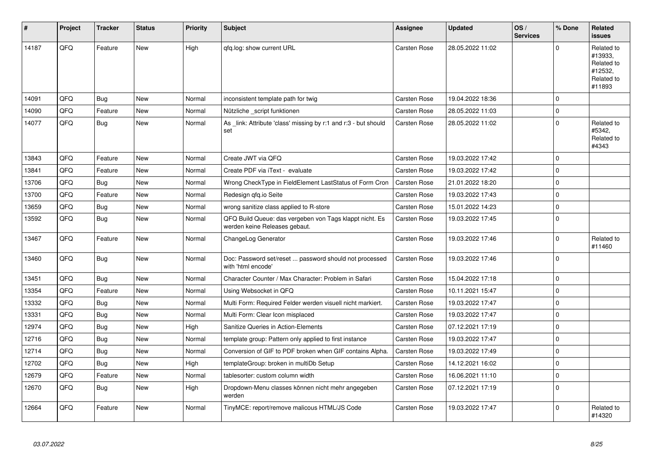| #     | Project | <b>Tracker</b> | <b>Status</b> | <b>Priority</b> | <b>Subject</b>                                                                           | <b>Assignee</b>     | <b>Updated</b>   | OS/<br><b>Services</b> | % Done      | Related<br><b>issues</b>                                               |
|-------|---------|----------------|---------------|-----------------|------------------------------------------------------------------------------------------|---------------------|------------------|------------------------|-------------|------------------------------------------------------------------------|
| 14187 | QFQ     | Feature        | <b>New</b>    | High            | qfq.log: show current URL                                                                | <b>Carsten Rose</b> | 28.05.2022 11:02 |                        | $\Omega$    | Related to<br>#13933,<br>Related to<br>#12532,<br>Related to<br>#11893 |
| 14091 | QFQ     | Bug            | <b>New</b>    | Normal          | inconsistent template path for twig                                                      | Carsten Rose        | 19.04.2022 18:36 |                        | $\Omega$    |                                                                        |
| 14090 | QFQ     | Feature        | <b>New</b>    | Normal          | Nützliche _script funktionen                                                             | Carsten Rose        | 28.05.2022 11:03 |                        | $\Omega$    |                                                                        |
| 14077 | QFQ     | Bug            | New           | Normal          | As link: Attribute 'class' missing by r:1 and r:3 - but should<br>set                    | Carsten Rose        | 28.05.2022 11:02 |                        | $\Omega$    | Related to<br>#5342,<br>Related to<br>#4343                            |
| 13843 | QFQ     | Feature        | <b>New</b>    | Normal          | Create JWT via QFQ                                                                       | <b>Carsten Rose</b> | 19.03.2022 17:42 |                        | $\Omega$    |                                                                        |
| 13841 | QFQ     | Feature        | <b>New</b>    | Normal          | Create PDF via iText - evaluate                                                          | Carsten Rose        | 19.03.2022 17:42 |                        | 0           |                                                                        |
| 13706 | QFQ     | Bug            | <b>New</b>    | Normal          | Wrong CheckType in FieldElement LastStatus of Form Cron                                  | Carsten Rose        | 21.01.2022 18:20 |                        | $\Omega$    |                                                                        |
| 13700 | QFQ     | Feature        | New           | Normal          | Redesign qfq.io Seite                                                                    | Carsten Rose        | 19.03.2022 17:43 |                        | $\mathbf 0$ |                                                                        |
| 13659 | QFQ     | <b>Bug</b>     | <b>New</b>    | Normal          | wrong sanitize class applied to R-store                                                  | <b>Carsten Rose</b> | 15.01.2022 14:23 |                        | $\Omega$    |                                                                        |
| 13592 | QFQ     | <b>Bug</b>     | <b>New</b>    | Normal          | QFQ Build Queue: das vergeben von Tags klappt nicht. Es<br>werden keine Releases gebaut. | <b>Carsten Rose</b> | 19.03.2022 17:45 |                        | $\Omega$    |                                                                        |
| 13467 | QFQ     | Feature        | <b>New</b>    | Normal          | ChangeLog Generator                                                                      | <b>Carsten Rose</b> | 19.03.2022 17:46 |                        | $\Omega$    | Related to<br>#11460                                                   |
| 13460 | QFQ     | <b>Bug</b>     | New           | Normal          | Doc: Password set/reset  password should not processed<br>with 'html encode'             | <b>Carsten Rose</b> | 19.03.2022 17:46 |                        | $\Omega$    |                                                                        |
| 13451 | QFQ     | Bug            | <b>New</b>    | Normal          | Character Counter / Max Character: Problem in Safari                                     | <b>Carsten Rose</b> | 15.04.2022 17:18 |                        | $\Omega$    |                                                                        |
| 13354 | QFQ     | Feature        | <b>New</b>    | Normal          | Using Websocket in QFQ                                                                   | Carsten Rose        | 10.11.2021 15:47 |                        | $\Omega$    |                                                                        |
| 13332 | QFQ     | Bug            | <b>New</b>    | Normal          | Multi Form: Required Felder werden visuell nicht markiert.                               | <b>Carsten Rose</b> | 19.03.2022 17:47 |                        | $\Omega$    |                                                                        |
| 13331 | QFQ     | <b>Bug</b>     | <b>New</b>    | Normal          | Multi Form: Clear Icon misplaced                                                         | Carsten Rose        | 19.03.2022 17:47 |                        | 0           |                                                                        |
| 12974 | QFQ     | <b>Bug</b>     | <b>New</b>    | High            | Sanitize Queries in Action-Elements                                                      | <b>Carsten Rose</b> | 07.12.2021 17:19 |                        | $\Omega$    |                                                                        |
| 12716 | QFQ     | Bug            | New           | Normal          | template group: Pattern only applied to first instance                                   | Carsten Rose        | 19.03.2022 17:47 |                        | $\mathbf 0$ |                                                                        |
| 12714 | QFQ     | <b>Bug</b>     | <b>New</b>    | Normal          | Conversion of GIF to PDF broken when GIF contains Alpha.                                 | <b>Carsten Rose</b> | 19.03.2022 17:49 |                        | $\Omega$    |                                                                        |
| 12702 | QFQ     | Bug            | <b>New</b>    | High            | templateGroup: broken in multiDb Setup                                                   | Carsten Rose        | 14.12.2021 16:02 |                        | $\Omega$    |                                                                        |
| 12679 | QFQ     | Feature        | <b>New</b>    | Normal          | tablesorter: custom column width                                                         | Carsten Rose        | 16.06.2021 11:10 |                        | $\Omega$    |                                                                        |
| 12670 | QFQ     | <b>Bug</b>     | New           | High            | Dropdown-Menu classes können nicht mehr angegeben<br>werden                              | Carsten Rose        | 07.12.2021 17:19 |                        | $\Omega$    |                                                                        |
| 12664 | QFQ     | Feature        | <b>New</b>    | Normal          | TinyMCE: report/remove malicous HTML/JS Code                                             | <b>Carsten Rose</b> | 19.03.2022 17:47 |                        | $\Omega$    | Related to<br>#14320                                                   |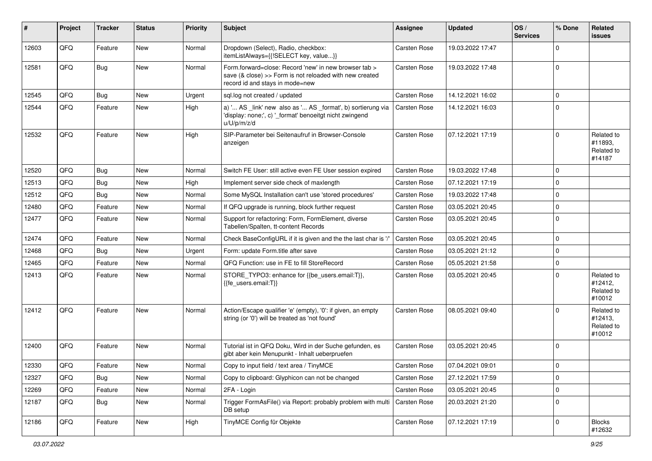| #     | Project | <b>Tracker</b> | <b>Status</b> | <b>Priority</b> | Subject                                                                                                                                             | <b>Assignee</b>     | <b>Updated</b>   | OS/<br><b>Services</b> | % Done      | Related<br>issues                             |
|-------|---------|----------------|---------------|-----------------|-----------------------------------------------------------------------------------------------------------------------------------------------------|---------------------|------------------|------------------------|-------------|-----------------------------------------------|
| 12603 | QFQ     | Feature        | New           | Normal          | Dropdown (Select), Radio, checkbox:<br>itemListAlways={{!SELECT key, value}}                                                                        | <b>Carsten Rose</b> | 19.03.2022 17:47 |                        | $\Omega$    |                                               |
| 12581 | QFQ     | <b>Bug</b>     | New           | Normal          | Form.forward=close: Record 'new' in new browser tab ><br>save (& close) >> Form is not reloaded with new created<br>record id and stays in mode=new | <b>Carsten Rose</b> | 19.03.2022 17:48 |                        | $\Omega$    |                                               |
| 12545 | QFQ     | <b>Bug</b>     | New           | Urgent          | sql.log not created / updated                                                                                                                       | <b>Carsten Rose</b> | 14.12.2021 16:02 |                        | $\mathbf 0$ |                                               |
| 12544 | QFQ     | Feature        | New           | High            | a) ' AS _link' new also as ' AS _format', b) sortierung via<br>'display: none;', c) '_format' benoeitgt nicht zwingend<br>u/U/p/m/z/d               | <b>Carsten Rose</b> | 14.12.2021 16:03 |                        | $\Omega$    |                                               |
| 12532 | QFQ     | Feature        | New           | High            | SIP-Parameter bei Seitenaufruf in Browser-Console<br>anzeigen                                                                                       | <b>Carsten Rose</b> | 07.12.2021 17:19 |                        | $\Omega$    | Related to<br>#11893,<br>Related to<br>#14187 |
| 12520 | QFQ     | Bug            | <b>New</b>    | Normal          | Switch FE User: still active even FE User session expired                                                                                           | <b>Carsten Rose</b> | 19.03.2022 17:48 |                        | $\Omega$    |                                               |
| 12513 | QFQ     | Bug            | New           | High            | Implement server side check of maxlength                                                                                                            | <b>Carsten Rose</b> | 07.12.2021 17:19 |                        | $\Omega$    |                                               |
| 12512 | QFQ     | Bug            | New           | Normal          | Some MySQL Installation can't use 'stored procedures'                                                                                               | <b>Carsten Rose</b> | 19.03.2022 17:48 |                        | $\mathbf 0$ |                                               |
| 12480 | QFQ     | Feature        | New           | Normal          | If QFQ upgrade is running, block further request                                                                                                    | <b>Carsten Rose</b> | 03.05.2021 20:45 |                        | $\mathbf 0$ |                                               |
| 12477 | QFQ     | Feature        | New           | Normal          | Support for refactoring: Form, FormElement, diverse<br>Tabellen/Spalten, tt-content Records                                                         | <b>Carsten Rose</b> | 03.05.2021 20:45 |                        | $\Omega$    |                                               |
| 12474 | QFQ     | Feature        | New           | Normal          | Check BaseConfigURL if it is given and the the last char is '/'                                                                                     | <b>Carsten Rose</b> | 03.05.2021 20:45 |                        | $\mathbf 0$ |                                               |
| 12468 | QFQ     | Bug            | New           | Urgent          | Form: update Form.title after save                                                                                                                  | <b>Carsten Rose</b> | 03.05.2021 21:12 |                        | $\mathbf 0$ |                                               |
| 12465 | QFQ     | Feature        | New           | Normal          | QFQ Function: use in FE to fill StoreRecord                                                                                                         | <b>Carsten Rose</b> | 05.05.2021 21:58 |                        | $\mathbf 0$ |                                               |
| 12413 | QFQ     | Feature        | New           | Normal          | STORE_TYPO3: enhance for {{be_users.email:T}},<br>{{fe users.email:T}}                                                                              | <b>Carsten Rose</b> | 03.05.2021 20:45 |                        | $\Omega$    | Related to<br>#12412,<br>Related to<br>#10012 |
| 12412 | QFQ     | Feature        | <b>New</b>    | Normal          | Action/Escape qualifier 'e' (empty), '0': if given, an empty<br>string (or '0') will be treated as 'not found'                                      | <b>Carsten Rose</b> | 08.05.2021 09:40 |                        | $\Omega$    | Related to<br>#12413,<br>Related to<br>#10012 |
| 12400 | QFQ     | Feature        | New           | Normal          | Tutorial ist in QFQ Doku, Wird in der Suche gefunden, es<br>gibt aber kein Menupunkt - Inhalt ueberpruefen                                          | <b>Carsten Rose</b> | 03.05.2021 20:45 |                        | l 0         |                                               |
| 12330 | QFQ     | Feature        | New           | Normal          | Copy to input field / text area / TinyMCE                                                                                                           | <b>Carsten Rose</b> | 07.04.2021 09:01 |                        | l 0         |                                               |
| 12327 | QFQ     | <b>Bug</b>     | New           | Normal          | Copy to clipboard: Glyphicon can not be changed                                                                                                     | Carsten Rose        | 27.12.2021 17:59 |                        | l 0         |                                               |
| 12269 | QFQ     | Feature        | New           | Normal          | 2FA - Login                                                                                                                                         | Carsten Rose        | 03.05.2021 20:45 |                        | $\mathbf 0$ |                                               |
| 12187 | QFQ     | <b>Bug</b>     | New           | Normal          | Trigger FormAsFile() via Report: probably problem with multi<br>DB setup                                                                            | Carsten Rose        | 20.03.2021 21:20 |                        | $\mathbf 0$ |                                               |
| 12186 | QFQ     | Feature        | New           | High            | TinyMCE Config für Objekte                                                                                                                          | Carsten Rose        | 07.12.2021 17:19 |                        | $\mathbf 0$ | Blocks<br>#12632                              |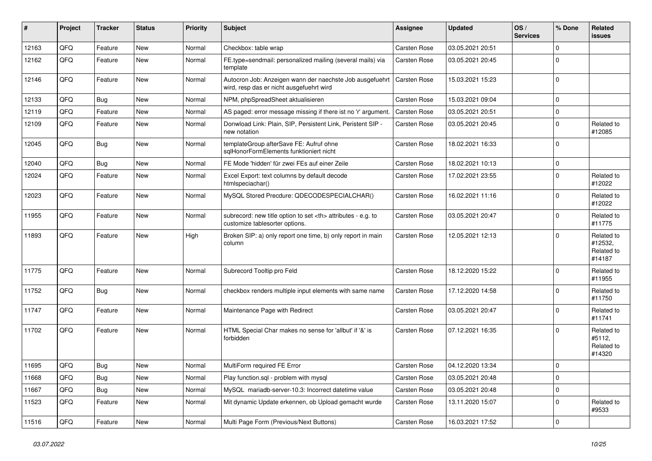| $\sharp$ | Project | <b>Tracker</b> | <b>Status</b> | <b>Priority</b> | <b>Subject</b>                                                                                       | <b>Assignee</b>                                        | <b>Updated</b>      | OS/<br><b>Services</b> | % Done      | Related<br>issues                             |                      |
|----------|---------|----------------|---------------|-----------------|------------------------------------------------------------------------------------------------------|--------------------------------------------------------|---------------------|------------------------|-------------|-----------------------------------------------|----------------------|
| 12163    | QFQ     | Feature        | <b>New</b>    | Normal          | Checkbox: table wrap                                                                                 | Carsten Rose                                           | 03.05.2021 20:51    |                        | $\Omega$    |                                               |                      |
| 12162    | QFQ     | Feature        | New           | Normal          | FE.type=sendmail: personalized mailing (several mails) via<br>template                               | Carsten Rose                                           | 03.05.2021 20:45    |                        | $\Omega$    |                                               |                      |
| 12146    | QFQ     | Feature        | New           | Normal          | Autocron Job: Anzeigen wann der naechste Job ausgefuehrt<br>wird, resp das er nicht ausgefuehrt wird | <b>Carsten Rose</b>                                    | 15.03.2021 15:23    |                        | $\mathbf 0$ |                                               |                      |
| 12133    | QFQ     | Bug            | <b>New</b>    | Normal          | NPM, phpSpreadSheet aktualisieren                                                                    | <b>Carsten Rose</b>                                    | 15.03.2021 09:04    |                        | $\Omega$    |                                               |                      |
| 12119    | QFQ     | Feature        | New           | Normal          | AS paged: error message missing if there ist no 'r' argument.                                        | <b>Carsten Rose</b>                                    | 03.05.2021 20:51    |                        | $\Omega$    |                                               |                      |
| 12109    | QFQ     | Feature        | New           | Normal          | Donwload Link: Plain, SIP, Persistent Link, Peristent SIP -<br>new notation                          | <b>Carsten Rose</b>                                    | 03.05.2021 20:45    |                        | $\Omega$    | Related to<br>#12085                          |                      |
| 12045    | QFQ     | Bug            | New           | Normal          | templateGroup afterSave FE: Aufruf ohne<br>sqlHonorFormElements funktioniert nicht                   | <b>Carsten Rose</b>                                    | 18.02.2021 16:33    |                        | $\Omega$    |                                               |                      |
| 12040    | QFQ     | Bug            | New           | Normal          | FE Mode 'hidden' für zwei FEs auf einer Zeile                                                        | <b>Carsten Rose</b>                                    | 18.02.2021 10:13    |                        | $\Omega$    |                                               |                      |
| 12024    | QFQ     | Feature        | New           | Normal          | Excel Export: text columns by default decode<br>htmlspeciachar()                                     | <b>Carsten Rose</b>                                    | 17.02.2021 23:55    |                        | $\Omega$    | Related to<br>#12022                          |                      |
| 12023    | QFQ     | Feature        | New           | Normal          | MySQL Stored Precdure: QDECODESPECIALCHAR()                                                          | <b>Carsten Rose</b>                                    | 16.02.2021 11:16    |                        | $\mathbf 0$ | Related to<br>#12022                          |                      |
| 11955    | QFQ     | Feature        | <b>New</b>    | Normal          | subrecord: new title option to set <th> attributes - e.g. to<br/>customize tablesorter options.</th> | attributes - e.g. to<br>customize tablesorter options. | <b>Carsten Rose</b> | 03.05.2021 20:47       |             | $\mathbf 0$                                   | Related to<br>#11775 |
| 11893    | QFQ     | Feature        | New           | High            | Broken SIP: a) only report one time, b) only report in main<br>column                                | <b>Carsten Rose</b>                                    | 12.05.2021 12:13    |                        | $\Omega$    | Related to<br>#12532,<br>Related to<br>#14187 |                      |
| 11775    | QFQ     | Feature        | New           | Normal          | Subrecord Tooltip pro Feld                                                                           | <b>Carsten Rose</b>                                    | 18.12.2020 15:22    |                        | $\Omega$    | Related to<br>#11955                          |                      |
| 11752    | QFQ     | Bug            | New           | Normal          | checkbox renders multiple input elements with same name                                              | <b>Carsten Rose</b>                                    | 17.12.2020 14:58    |                        | $\Omega$    | Related to<br>#11750                          |                      |
| 11747    | QFQ     | Feature        | New           | Normal          | Maintenance Page with Redirect                                                                       | Carsten Rose                                           | 03.05.2021 20:47    |                        | $\Omega$    | Related to<br>#11741                          |                      |
| 11702    | QFQ     | Feature        | New           | Normal          | HTML Special Char makes no sense for 'allbut' if '&' is<br>forbidden                                 | <b>Carsten Rose</b>                                    | 07.12.2021 16:35    |                        | $\Omega$    | Related to<br>#5112,<br>Related to<br>#14320  |                      |
| 11695    | QFQ     | Bug            | New           | Normal          | MultiForm required FE Error                                                                          | <b>Carsten Rose</b>                                    | 04.12.2020 13:34    |                        | l O         |                                               |                      |
| 11668    | QFQ     | Bug            | New           | Normal          | Play function.sql - problem with mysql                                                               | Carsten Rose                                           | 03.05.2021 20:48    |                        | 0           |                                               |                      |
| 11667    | QFQ     | <b>Bug</b>     | New           | Normal          | MySQL mariadb-server-10.3: Incorrect datetime value                                                  | Carsten Rose                                           | 03.05.2021 20:48    |                        | $\mathbf 0$ |                                               |                      |
| 11523    | QFQ     | Feature        | New           | Normal          | Mit dynamic Update erkennen, ob Upload gemacht wurde                                                 | Carsten Rose                                           | 13.11.2020 15:07    |                        | $\mathbf 0$ | Related to<br>#9533                           |                      |
| 11516    | QFQ     | Feature        | New           | Normal          | Multi Page Form (Previous/Next Buttons)                                                              | Carsten Rose                                           | 16.03.2021 17:52    |                        | 0           |                                               |                      |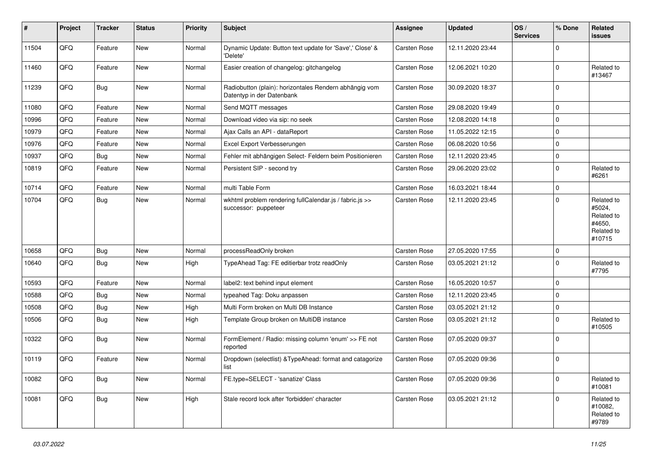| #     | Project | <b>Tracker</b> | <b>Status</b> | <b>Priority</b> | <b>Subject</b>                                                                      | <b>Assignee</b>     | <b>Updated</b>   | OS/<br><b>Services</b> | % Done      | <b>Related</b><br>issues                                             |
|-------|---------|----------------|---------------|-----------------|-------------------------------------------------------------------------------------|---------------------|------------------|------------------------|-------------|----------------------------------------------------------------------|
| 11504 | QFQ     | Feature        | <b>New</b>    | Normal          | Dynamic Update: Button text update for 'Save',' Close' &<br>'Delete'                | Carsten Rose        | 12.11.2020 23:44 |                        | 0           |                                                                      |
| 11460 | QFQ     | Feature        | <b>New</b>    | Normal          | Easier creation of changelog: gitchangelog                                          | Carsten Rose        | 12.06.2021 10:20 |                        | $\Omega$    | Related to<br>#13467                                                 |
| 11239 | QFQ     | Bug            | New           | Normal          | Radiobutton (plain): horizontales Rendern abhängig vom<br>Datentyp in der Datenbank | Carsten Rose        | 30.09.2020 18:37 |                        | 0           |                                                                      |
| 11080 | QFQ     | Feature        | New           | Normal          | Send MQTT messages                                                                  | <b>Carsten Rose</b> | 29.08.2020 19:49 |                        | $\mathbf 0$ |                                                                      |
| 10996 | QFQ     | Feature        | New           | Normal          | Download video via sip: no seek                                                     | Carsten Rose        | 12.08.2020 14:18 |                        | $\Omega$    |                                                                      |
| 10979 | QFQ     | Feature        | <b>New</b>    | Normal          | Ajax Calls an API - dataReport                                                      | Carsten Rose        | 11.05.2022 12:15 |                        | 0           |                                                                      |
| 10976 | QFQ     | Feature        | <b>New</b>    | Normal          | Excel Export Verbesserungen                                                         | <b>Carsten Rose</b> | 06.08.2020 10:56 |                        | $\Omega$    |                                                                      |
| 10937 | QFQ     | Bug            | New           | Normal          | Fehler mit abhängigen Select- Feldern beim Positionieren                            | Carsten Rose        | 12.11.2020 23:45 |                        | $\mathbf 0$ |                                                                      |
| 10819 | QFQ     | Feature        | <b>New</b>    | Normal          | Persistent SIP - second try                                                         | <b>Carsten Rose</b> | 29.06.2020 23:02 |                        | $\Omega$    | Related to<br>#6261                                                  |
| 10714 | QFQ     | Feature        | <b>New</b>    | Normal          | multi Table Form                                                                    | <b>Carsten Rose</b> | 16.03.2021 18:44 |                        | $\mathbf 0$ |                                                                      |
| 10704 | QFQ     | Bug            | New           | Normal          | wkhtml problem rendering fullCalendar.js / fabric.js >><br>successor: puppeteer     | Carsten Rose        | 12.11.2020 23:45 |                        | $\Omega$    | Related to<br>#5024,<br>Related to<br>#4650,<br>Related to<br>#10715 |
| 10658 | QFQ     | Bug            | <b>New</b>    | Normal          | processReadOnly broken                                                              | <b>Carsten Rose</b> | 27.05.2020 17:55 |                        | $\Omega$    |                                                                      |
| 10640 | QFQ     | Bug            | <b>New</b>    | High            | TypeAhead Tag: FE editierbar trotz readOnly                                         | <b>Carsten Rose</b> | 03.05.2021 21:12 |                        | $\mathbf 0$ | Related to<br>#7795                                                  |
| 10593 | QFQ     | Feature        | New           | Normal          | label2: text behind input element                                                   | <b>Carsten Rose</b> | 16.05.2020 10:57 |                        | $\Omega$    |                                                                      |
| 10588 | QFQ     | Bug            | <b>New</b>    | Normal          | typeahed Tag: Doku anpassen                                                         | <b>Carsten Rose</b> | 12.11.2020 23:45 |                        | $\Omega$    |                                                                      |
| 10508 | QFQ     | Bug            | <b>New</b>    | High            | Multi Form broken on Multi DB Instance                                              | Carsten Rose        | 03.05.2021 21:12 |                        | $\mathbf 0$ |                                                                      |
| 10506 | QFQ     | Bug            | <b>New</b>    | High            | Template Group broken on MultiDB instance                                           | <b>Carsten Rose</b> | 03.05.2021 21:12 |                        | 0           | Related to<br>#10505                                                 |
| 10322 | QFQ     | <b>Bug</b>     | New           | Normal          | FormElement / Radio: missing column 'enum' >> FE not<br>reported                    | <b>Carsten Rose</b> | 07.05.2020 09:37 |                        | $\Omega$    |                                                                      |
| 10119 | QFQ     | Feature        | <b>New</b>    | Normal          | Dropdown (selectlist) & TypeAhead: format and catagorize<br>list                    | Carsten Rose        | 07.05.2020 09:36 |                        | $\Omega$    |                                                                      |
| 10082 | QFQ     | Bug            | New           | Normal          | FE.type=SELECT - 'sanatize' Class                                                   | Carsten Rose        | 07.05.2020 09:36 |                        | $\mathbf 0$ | Related to<br>#10081                                                 |
| 10081 | QFQ     | Bug            | New           | High            | Stale record lock after 'forbidden' character                                       | <b>Carsten Rose</b> | 03.05.2021 21:12 |                        | 0           | Related to<br>#10082,<br>Related to<br>#9789                         |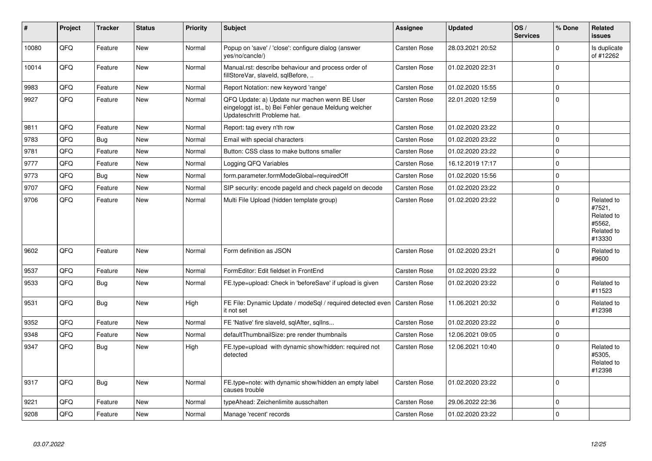| #     | Project | <b>Tracker</b> | <b>Status</b> | <b>Priority</b> | <b>Subject</b>                                                                                                                        | Assignee            | <b>Updated</b>   | OS/<br><b>Services</b> | % Done      | Related<br><b>issues</b>                                             |
|-------|---------|----------------|---------------|-----------------|---------------------------------------------------------------------------------------------------------------------------------------|---------------------|------------------|------------------------|-------------|----------------------------------------------------------------------|
| 10080 | QFQ     | Feature        | <b>New</b>    | Normal          | Popup on 'save' / 'close': configure dialog (answer<br>yes/no/cancle/)                                                                | Carsten Rose        | 28.03.2021 20:52 |                        | $\Omega$    | Is duplicate<br>of #12262                                            |
| 10014 | QFQ     | Feature        | <b>New</b>    | Normal          | Manual.rst: describe behaviour and process order of<br>fillStoreVar, slaveId, sqlBefore,                                              | Carsten Rose        | 01.02.2020 22:31 |                        | $\Omega$    |                                                                      |
| 9983  | QFQ     | Feature        | <b>New</b>    | Normal          | Report Notation: new keyword 'range'                                                                                                  | Carsten Rose        | 01.02.2020 15:55 |                        | $\Omega$    |                                                                      |
| 9927  | QFQ     | Feature        | <b>New</b>    | Normal          | QFQ Update: a) Update nur machen wenn BE User<br>eingeloggt ist., b) Bei Fehler genaue Meldung welcher<br>Updateschritt Probleme hat. | Carsten Rose        | 22.01.2020 12:59 |                        | $\Omega$    |                                                                      |
| 9811  | QFQ     | Feature        | <b>New</b>    | Normal          | Report: tag every n'th row                                                                                                            | Carsten Rose        | 01.02.2020 23:22 |                        | $\Omega$    |                                                                      |
| 9783  | QFQ     | Bug            | <b>New</b>    | Normal          | Email with special characters                                                                                                         | Carsten Rose        | 01.02.2020 23:22 |                        | $\Omega$    |                                                                      |
| 9781  | QFQ     | Feature        | <b>New</b>    | Normal          | Button: CSS class to make buttons smaller                                                                                             | Carsten Rose        | 01.02.2020 23:22 |                        | $\mathbf 0$ |                                                                      |
| 9777  | QFQ     | Feature        | <b>New</b>    | Normal          | Logging QFQ Variables                                                                                                                 | Carsten Rose        | 16.12.2019 17:17 |                        | $\Omega$    |                                                                      |
| 9773  | QFQ     | Bug            | <b>New</b>    | Normal          | form.parameter.formModeGlobal=requiredOff                                                                                             | Carsten Rose        | 01.02.2020 15:56 |                        | $\Omega$    |                                                                      |
| 9707  | QFQ     | Feature        | <b>New</b>    | Normal          | SIP security: encode pageld and check pageld on decode                                                                                | Carsten Rose        | 01.02.2020 23:22 |                        | $\Omega$    |                                                                      |
| 9706  | QFQ     | Feature        | <b>New</b>    | Normal          | Multi File Upload (hidden template group)                                                                                             | Carsten Rose        | 01.02.2020 23:22 |                        | $\Omega$    | Related to<br>#7521,<br>Related to<br>#5562,<br>Related to<br>#13330 |
| 9602  | QFQ     | Feature        | <b>New</b>    | Normal          | Form definition as JSON                                                                                                               | Carsten Rose        | 01.02.2020 23:21 |                        | $\Omega$    | Related to<br>#9600                                                  |
| 9537  | QFQ     | Feature        | <b>New</b>    | Normal          | FormEditor: Edit fieldset in FrontEnd                                                                                                 | Carsten Rose        | 01.02.2020 23:22 |                        | $\mathbf 0$ |                                                                      |
| 9533  | QFQ     | Bug            | <b>New</b>    | Normal          | FE.type=upload: Check in 'beforeSave' if upload is given                                                                              | Carsten Rose        | 01.02.2020 23:22 |                        | $\Omega$    | Related to<br>#11523                                                 |
| 9531  | QFQ     | Bug            | <b>New</b>    | High            | FE File: Dynamic Update / modeSql / required detected even<br>it not set                                                              | <b>Carsten Rose</b> | 11.06.2021 20:32 |                        | $\Omega$    | Related to<br>#12398                                                 |
| 9352  | QFQ     | Feature        | <b>New</b>    | Normal          | FE 'Native' fire slaveld, sqlAfter, sqlIns                                                                                            | Carsten Rose        | 01.02.2020 23:22 |                        | $\mathbf 0$ |                                                                      |
| 9348  | QFQ     | Feature        | <b>New</b>    | Normal          | defaultThumbnailSize: pre render thumbnails                                                                                           | Carsten Rose        | 12.06.2021 09:05 |                        | $\Omega$    |                                                                      |
| 9347  | QFQ     | Bug            | <b>New</b>    | High            | FE.type=upload with dynamic show/hidden: required not<br>detected                                                                     | Carsten Rose        | 12.06.2021 10:40 |                        | $\Omega$    | Related to<br>#5305,<br>Related to<br>#12398                         |
| 9317  | QFQ     | <b>Bug</b>     | <b>New</b>    | Normal          | FE.type=note: with dynamic show/hidden an empty label<br>causes trouble                                                               | Carsten Rose        | 01.02.2020 23:22 |                        | $\Omega$    |                                                                      |
| 9221  | QFQ     | Feature        | <b>New</b>    | Normal          | typeAhead: Zeichenlimite ausschalten                                                                                                  | Carsten Rose        | 29.06.2022 22:36 |                        | $\Omega$    |                                                                      |
| 9208  | QFQ     | Feature        | New           | Normal          | Manage 'recent' records                                                                                                               | Carsten Rose        | 01.02.2020 23:22 |                        | $\Omega$    |                                                                      |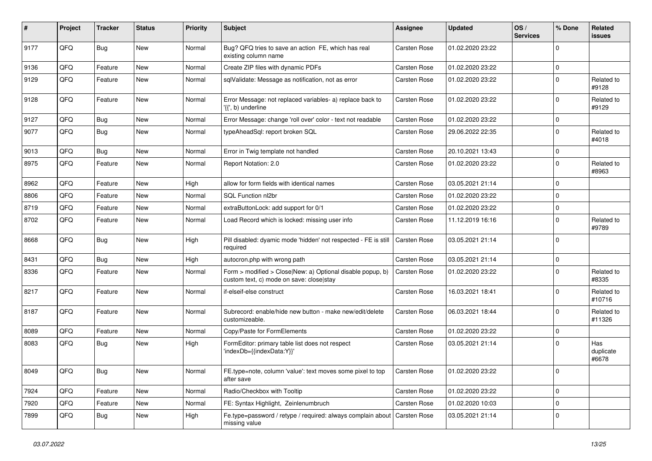| #    | Project | <b>Tracker</b> | <b>Status</b> | <b>Priority</b> | Subject                                                                                                | <b>Assignee</b>     | <b>Updated</b>   | OS/<br><b>Services</b> | % Done      | Related<br><b>issues</b>  |
|------|---------|----------------|---------------|-----------------|--------------------------------------------------------------------------------------------------------|---------------------|------------------|------------------------|-------------|---------------------------|
| 9177 | QFQ     | Bug            | New           | Normal          | Bug? QFQ tries to save an action FE, which has real<br>existing column name                            | <b>Carsten Rose</b> | 01.02.2020 23:22 |                        | $\Omega$    |                           |
| 9136 | QFQ     | Feature        | <b>New</b>    | Normal          | Create ZIP files with dynamic PDFs                                                                     | <b>Carsten Rose</b> | 01.02.2020 23:22 |                        | $\mathbf 0$ |                           |
| 9129 | QFQ     | Feature        | <b>New</b>    | Normal          | sqlValidate: Message as notification, not as error                                                     | <b>Carsten Rose</b> | 01.02.2020 23:22 |                        | $\Omega$    | Related to<br>#9128       |
| 9128 | QFQ     | Feature        | <b>New</b>    | Normal          | Error Message: not replaced variables- a) replace back to<br>'{{', b) underline                        | <b>Carsten Rose</b> | 01.02.2020 23:22 |                        | $\Omega$    | Related to<br>#9129       |
| 9127 | QFQ     | Bug            | <b>New</b>    | Normal          | Error Message: change 'roll over' color - text not readable                                            | Carsten Rose        | 01.02.2020 23:22 |                        | $\Omega$    |                           |
| 9077 | QFQ     | <b>Bug</b>     | <b>New</b>    | Normal          | typeAheadSql: report broken SQL                                                                        | <b>Carsten Rose</b> | 29.06.2022 22:35 |                        | $\Omega$    | Related to<br>#4018       |
| 9013 | QFQ     | <b>Bug</b>     | <b>New</b>    | Normal          | Error in Twig template not handled                                                                     | <b>Carsten Rose</b> | 20.10.2021 13:43 |                        | $\mathbf 0$ |                           |
| 8975 | QFQ     | Feature        | <b>New</b>    | Normal          | Report Notation: 2.0                                                                                   | <b>Carsten Rose</b> | 01.02.2020 23:22 |                        | $\Omega$    | Related to<br>#8963       |
| 8962 | QFQ     | Feature        | <b>New</b>    | High            | allow for form fields with identical names                                                             | Carsten Rose        | 03.05.2021 21:14 |                        | $\Omega$    |                           |
| 8806 | QFQ     | Feature        | <b>New</b>    | Normal          | SQL Function nl2br                                                                                     | <b>Carsten Rose</b> | 01.02.2020 23:22 |                        | $\Omega$    |                           |
| 8719 | QFQ     | Feature        | New           | Normal          | extraButtonLock: add support for 0/1                                                                   | Carsten Rose        | 01.02.2020 23:22 |                        | $\mathbf 0$ |                           |
| 8702 | QFQ     | Feature        | <b>New</b>    | Normal          | Load Record which is locked: missing user info                                                         | <b>Carsten Rose</b> | 11.12.2019 16:16 |                        | $\Omega$    | Related to<br>#9789       |
| 8668 | QFQ     | Bug            | <b>New</b>    | High            | Pill disabled: dyamic mode 'hidden' not respected - FE is still<br>required                            | <b>Carsten Rose</b> | 03.05.2021 21:14 |                        | $\Omega$    |                           |
| 8431 | QFQ     | Bug            | <b>New</b>    | High            | autocron.php with wrong path                                                                           | <b>Carsten Rose</b> | 03.05.2021 21:14 |                        | $\mathbf 0$ |                           |
| 8336 | QFQ     | Feature        | <b>New</b>    | Normal          | Form > modified > Close New: a) Optional disable popup, b)<br>custom text, c) mode on save: close stay | <b>Carsten Rose</b> | 01.02.2020 23:22 |                        | $\Omega$    | Related to<br>#8335       |
| 8217 | QFQ     | Feature        | New           | Normal          | if-elseif-else construct                                                                               | <b>Carsten Rose</b> | 16.03.2021 18:41 |                        | $\Omega$    | Related to<br>#10716      |
| 8187 | QFQ     | Feature        | New           | Normal          | Subrecord: enable/hide new button - make new/edit/delete<br>customizeable.                             | <b>Carsten Rose</b> | 06.03.2021 18:44 |                        | $\Omega$    | Related to<br>#11326      |
| 8089 | QFQ     | Feature        | <b>New</b>    | Normal          | Copy/Paste for FormElements                                                                            | <b>Carsten Rose</b> | 01.02.2020 23:22 |                        | $\Omega$    |                           |
| 8083 | QFQ     | Bug            | New           | High            | FormEditor: primary table list does not respect<br>'indexDb={{indexData:Y}}'                           | <b>Carsten Rose</b> | 03.05.2021 21:14 |                        | $\Omega$    | Has<br>duplicate<br>#6678 |
| 8049 | QFQ     | <b>Bug</b>     | New           | Normal          | FE.type=note, column 'value': text moves some pixel to top<br>after save                               | <b>Carsten Rose</b> | 01.02.2020 23:22 |                        | 0           |                           |
| 7924 | QFQ     | Feature        | New           | Normal          | Radio/Checkbox with Tooltip                                                                            | Carsten Rose        | 01.02.2020 23:22 |                        | $\mathbf 0$ |                           |
| 7920 | QFQ     | Feature        | New           | Normal          | FE: Syntax Highlight, Zeinlenumbruch                                                                   | Carsten Rose        | 01.02.2020 10:03 |                        | $\mathbf 0$ |                           |
| 7899 | QFQ     | <b>Bug</b>     | New           | High            | Fe.type=password / retype / required: always complain about<br>missing value                           | Carsten Rose        | 03.05.2021 21:14 |                        | 0           |                           |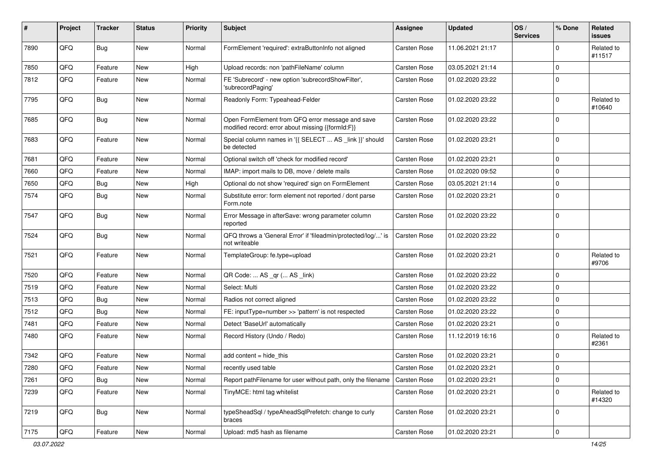| #    | Project | <b>Tracker</b> | <b>Status</b> | <b>Priority</b> | Subject                                                                                               | Assignee            | <b>Updated</b>   | OS/<br><b>Services</b> | % Done         | Related<br>issues    |
|------|---------|----------------|---------------|-----------------|-------------------------------------------------------------------------------------------------------|---------------------|------------------|------------------------|----------------|----------------------|
| 7890 | QFQ     | Bug            | New           | Normal          | FormElement 'required': extraButtonInfo not aligned                                                   | <b>Carsten Rose</b> | 11.06.2021 21:17 |                        | $\Omega$       | Related to<br>#11517 |
| 7850 | QFQ     | Feature        | <b>New</b>    | High            | Upload records: non 'pathFileName' column                                                             | <b>Carsten Rose</b> | 03.05.2021 21:14 |                        | $\Omega$       |                      |
| 7812 | QFQ     | Feature        | <b>New</b>    | Normal          | FE 'Subrecord' - new option 'subrecordShowFilter',<br>'subrecordPaging'                               | <b>Carsten Rose</b> | 01.02.2020 23:22 |                        | $\Omega$       |                      |
| 7795 | QFQ     | Bug            | <b>New</b>    | Normal          | Readonly Form: Typeahead-Felder                                                                       | <b>Carsten Rose</b> | 01.02.2020 23:22 |                        | $\Omega$       | Related to<br>#10640 |
| 7685 | QFQ     | <b>Bug</b>     | New           | Normal          | Open FormElement from QFQ error message and save<br>modified record: error about missing {{formId:F}} | Carsten Rose        | 01.02.2020 23:22 |                        | $\Omega$       |                      |
| 7683 | QFQ     | Feature        | New           | Normal          | Special column names in '{{ SELECT  AS _link }}' should<br>be detected                                | <b>Carsten Rose</b> | 01.02.2020 23:21 |                        | $\overline{0}$ |                      |
| 7681 | QFQ     | Feature        | <b>New</b>    | Normal          | Optional switch off 'check for modified record'                                                       | <b>Carsten Rose</b> | 01.02.2020 23:21 |                        | 0              |                      |
| 7660 | QFQ     | Feature        | New           | Normal          | IMAP: import mails to DB, move / delete mails                                                         | <b>Carsten Rose</b> | 01.02.2020 09:52 |                        | $\mathbf 0$    |                      |
| 7650 | QFQ     | Bug            | <b>New</b>    | High            | Optional do not show 'required' sign on FormElement                                                   | <b>Carsten Rose</b> | 03.05.2021 21:14 |                        | $\mathbf 0$    |                      |
| 7574 | QFQ     | Bug            | <b>New</b>    | Normal          | Substitute error: form element not reported / dont parse<br>Form.note                                 | <b>Carsten Rose</b> | 01.02.2020 23:21 |                        | $\mathbf 0$    |                      |
| 7547 | QFQ     | Bug            | <b>New</b>    | Normal          | Error Message in afterSave: wrong parameter column<br>reported                                        | <b>Carsten Rose</b> | 01.02.2020 23:22 |                        | $\Omega$       |                      |
| 7524 | QFG     | Bug            | <b>New</b>    | Normal          | QFQ throws a 'General Error' if 'fileadmin/protected/log/' is<br>not writeable                        | <b>Carsten Rose</b> | 01.02.2020 23:22 |                        | $\Omega$       |                      |
| 7521 | QFQ     | Feature        | New           | Normal          | TemplateGroup: fe.type=upload                                                                         | <b>Carsten Rose</b> | 01.02.2020 23:21 |                        | $\Omega$       | Related to<br>#9706  |
| 7520 | QFQ     | Feature        | <b>New</b>    | Normal          | QR Code:  AS _qr ( AS _link)                                                                          | <b>Carsten Rose</b> | 01.02.2020 23:22 |                        | $\mathbf 0$    |                      |
| 7519 | QFQ     | Feature        | <b>New</b>    | Normal          | Select: Multi                                                                                         | <b>Carsten Rose</b> | 01.02.2020 23:22 |                        | $\mathbf 0$    |                      |
| 7513 | QFQ     | Bug            | <b>New</b>    | Normal          | Radios not correct aligned                                                                            | <b>Carsten Rose</b> | 01.02.2020 23:22 |                        | $\mathbf 0$    |                      |
| 7512 | QFQ     | Bug            | New           | Normal          | FE: inputType=number >> 'pattern' is not respected                                                    | <b>Carsten Rose</b> | 01.02.2020 23:22 |                        | $\Omega$       |                      |
| 7481 | QFQ     | Feature        | <b>New</b>    | Normal          | Detect 'BaseUrl' automatically                                                                        | Carsten Rose        | 01.02.2020 23:21 |                        | $\Omega$       |                      |
| 7480 | QFQ     | Feature        | New           | Normal          | Record History (Undo / Redo)                                                                          | <b>Carsten Rose</b> | 11.12.2019 16:16 |                        | 0              | Related to<br>#2361  |
| 7342 | QFQ     | Feature        | <b>New</b>    | Normal          | add content $=$ hide this                                                                             | <b>Carsten Rose</b> | 01.02.2020 23:21 |                        | $\mathbf 0$    |                      |
| 7280 | QFQ     | Feature        | New           | Normal          | recently used table                                                                                   | Carsten Rose        | 01.02.2020 23:21 |                        | $\mathbf 0$    |                      |
| 7261 | QFQ     | <b>Bug</b>     | New           | Normal          | Report pathFilename for user without path, only the filename                                          | <b>Carsten Rose</b> | 01.02.2020 23:21 |                        | $\mathbf 0$    |                      |
| 7239 | QFQ     | Feature        | New           | Normal          | TinyMCE: html tag whitelist                                                                           | <b>Carsten Rose</b> | 01.02.2020 23:21 |                        | 0              | Related to<br>#14320 |
| 7219 | QFQ     | Bug            | New           | Normal          | typeSheadSql / typeAheadSqlPrefetch: change to curly<br>braces                                        | Carsten Rose        | 01.02.2020 23:21 |                        | $\Omega$       |                      |
| 7175 | QFQ     | Feature        | New           | Normal          | Upload: md5 hash as filename                                                                          | Carsten Rose        | 01.02.2020 23:21 |                        | 0              |                      |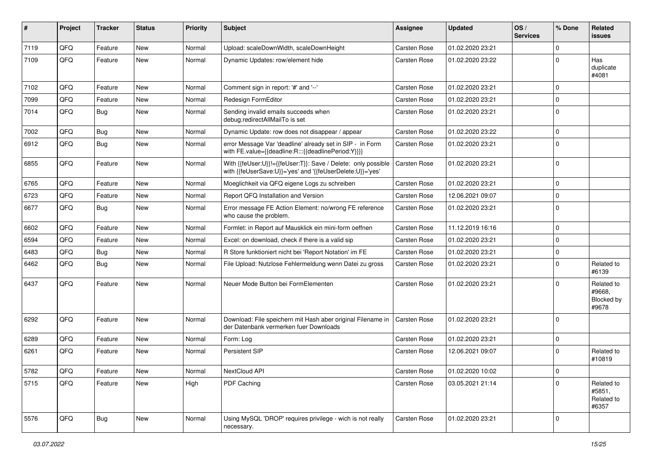| #    | Project | <b>Tracker</b> | <b>Status</b> | <b>Priority</b> | <b>Subject</b>                                                                                                             | Assignee            | <b>Updated</b>   | OS/<br><b>Services</b> | % Done      | Related<br><b>issues</b>                    |
|------|---------|----------------|---------------|-----------------|----------------------------------------------------------------------------------------------------------------------------|---------------------|------------------|------------------------|-------------|---------------------------------------------|
| 7119 | QFQ     | Feature        | <b>New</b>    | Normal          | Upload: scaleDownWidth, scaleDownHeight                                                                                    | Carsten Rose        | 01.02.2020 23:21 |                        | $\Omega$    |                                             |
| 7109 | QFQ     | Feature        | <b>New</b>    | Normal          | Dynamic Updates: row/element hide                                                                                          | <b>Carsten Rose</b> | 01.02.2020 23:22 |                        | $\Omega$    | Has<br>duplicate<br>#4081                   |
| 7102 | QFQ     | Feature        | <b>New</b>    | Normal          | Comment sign in report: '#' and '--'                                                                                       | Carsten Rose        | 01.02.2020 23:21 |                        | $\Omega$    |                                             |
| 7099 | QFQ     | Feature        | New           | Normal          | Redesign FormEditor                                                                                                        | <b>Carsten Rose</b> | 01.02.2020 23:21 |                        | $\Omega$    |                                             |
| 7014 | QFQ     | Bug            | <b>New</b>    | Normal          | Sending invalid emails succeeds when<br>debug.redirectAllMailTo is set                                                     | Carsten Rose        | 01.02.2020 23:21 |                        | $\mathbf 0$ |                                             |
| 7002 | QFQ     | Bug            | <b>New</b>    | Normal          | Dynamic Update: row does not disappear / appear                                                                            | Carsten Rose        | 01.02.2020 23:22 |                        | $\Omega$    |                                             |
| 6912 | QFQ     | Bug            | New           | Normal          | error Message Var 'deadline' already set in SIP - in Form<br>with FE.value={{deadline:R:::{{deadlinePeriod:Y}}}}           | <b>Carsten Rose</b> | 01.02.2020 23:21 |                        | $\Omega$    |                                             |
| 6855 | QFQ     | Feature        | <b>New</b>    | Normal          | With {{feUser:U}}!={{feUser:T}}: Save / Delete: only possible<br>with {{feUserSave:U}}='yes' and '{{feUserDelete:U}}='yes' | <b>Carsten Rose</b> | 01.02.2020 23:21 |                        | $\Omega$    |                                             |
| 6765 | QFQ     | Feature        | <b>New</b>    | Normal          | Moeglichkeit via QFQ eigene Logs zu schreiben                                                                              | Carsten Rose        | 01.02.2020 23:21 |                        | $\Omega$    |                                             |
| 6723 | QFQ     | Feature        | <b>New</b>    | Normal          | Report QFQ Installation and Version                                                                                        | Carsten Rose        | 12.06.2021 09:07 |                        | $\mathbf 0$ |                                             |
| 6677 | QFQ     | Bug            | New           | Normal          | Error message FE Action Element: no/wrong FE reference<br>who cause the problem.                                           | Carsten Rose        | 01.02.2020 23:21 |                        | $\Omega$    |                                             |
| 6602 | QFQ     | Feature        | <b>New</b>    | Normal          | Formlet: in Report auf Mausklick ein mini-form oeffnen                                                                     | Carsten Rose        | 11.12.2019 16:16 |                        | $\mathbf 0$ |                                             |
| 6594 | QFQ     | Feature        | New           | Normal          | Excel: on download, check if there is a valid sip                                                                          | Carsten Rose        | 01.02.2020 23:21 |                        | $\Omega$    |                                             |
| 6483 | QFQ     | Bug            | <b>New</b>    | Normal          | R Store funktioniert nicht bei 'Report Notation' im FE                                                                     | Carsten Rose        | 01.02.2020 23:21 |                        | $\mathbf 0$ |                                             |
| 6462 | QFQ     | Bug            | <b>New</b>    | Normal          | File Upload: Nutzlose Fehlermeldung wenn Datei zu gross                                                                    | <b>Carsten Rose</b> | 01.02.2020 23:21 |                        | $\Omega$    | Related to<br>#6139                         |
| 6437 | QFQ     | Feature        | <b>New</b>    | Normal          | Neuer Mode Button bei FormElementen                                                                                        | <b>Carsten Rose</b> | 01.02.2020 23:21 |                        | $\Omega$    | Related to<br>#9668.<br>Blocked by<br>#9678 |
| 6292 | QFQ     | Feature        | <b>New</b>    | Normal          | Download: File speichern mit Hash aber original Filename in<br>der Datenbank vermerken fuer Downloads                      | Carsten Rose        | 01.02.2020 23:21 |                        | $\Omega$    |                                             |
| 6289 | QFQ     | Feature        | <b>New</b>    | Normal          | Form: Log                                                                                                                  | Carsten Rose        | 01.02.2020 23:21 |                        | $\mathbf 0$ |                                             |
| 6261 | QFQ     | Feature        | New           | Normal          | Persistent SIP                                                                                                             | <b>Carsten Rose</b> | 12.06.2021 09:07 |                        | $\Omega$    | Related to<br>#10819                        |
| 5782 | QFQ     | Feature        | New           | Normal          | NextCloud API                                                                                                              | Carsten Rose        | 01.02.2020 10:02 |                        | 0           |                                             |
| 5715 | QFQ     | Feature        | <b>New</b>    | High            | PDF Caching                                                                                                                | Carsten Rose        | 03.05.2021 21:14 |                        | $\Omega$    | Related to<br>#5851,<br>Related to<br>#6357 |
| 5576 | QFQ     | <b>Bug</b>     | New           | Normal          | Using MySQL 'DROP' requires privilege - wich is not really<br>necessary.                                                   | Carsten Rose        | 01.02.2020 23:21 |                        | 0           |                                             |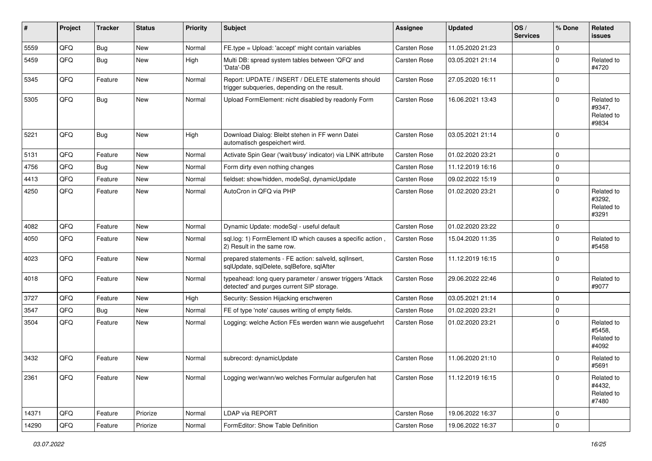| #     | Project | <b>Tracker</b> | <b>Status</b> | <b>Priority</b> | Subject                                                                                                | <b>Assignee</b>     | <b>Updated</b>   | OS/<br><b>Services</b> | % Done      | Related<br><b>issues</b>                    |
|-------|---------|----------------|---------------|-----------------|--------------------------------------------------------------------------------------------------------|---------------------|------------------|------------------------|-------------|---------------------------------------------|
| 5559  | QFQ     | Bug            | New           | Normal          | FE.type = Upload: 'accept' might contain variables                                                     | <b>Carsten Rose</b> | 11.05.2020 21:23 |                        | $\Omega$    |                                             |
| 5459  | QFQ     | Bug            | <b>New</b>    | High            | Multi DB: spread system tables between 'QFQ' and<br>'Data'-DB                                          | <b>Carsten Rose</b> | 03.05.2021 21:14 |                        | $\Omega$    | Related to<br>#4720                         |
| 5345  | QFQ     | Feature        | <b>New</b>    | Normal          | Report: UPDATE / INSERT / DELETE statements should<br>trigger subqueries, depending on the result.     | <b>Carsten Rose</b> | 27.05.2020 16:11 |                        | $\Omega$    |                                             |
| 5305  | QFQ     | Bug            | <b>New</b>    | Normal          | Upload FormElement: nicht disabled by readonly Form                                                    | <b>Carsten Rose</b> | 16.06.2021 13:43 |                        | $\Omega$    | Related to<br>#9347,<br>Related to<br>#9834 |
| 5221  | QFQ     | Bug            | New           | High            | Download Dialog: Bleibt stehen in FF wenn Datei<br>automatisch gespeichert wird.                       | <b>Carsten Rose</b> | 03.05.2021 21:14 |                        | $\Omega$    |                                             |
| 5131  | QFQ     | Feature        | <b>New</b>    | Normal          | Activate Spin Gear ('wait/busy' indicator) via LINK attribute                                          | <b>Carsten Rose</b> | 01.02.2020 23:21 |                        | $\Omega$    |                                             |
| 4756  | QFQ     | Bug            | New           | Normal          | Form dirty even nothing changes                                                                        | <b>Carsten Rose</b> | 11.12.2019 16:16 |                        | $\Omega$    |                                             |
| 4413  | QFQ     | Feature        | New           | Normal          | fieldset: show/hidden, modeSql, dynamicUpdate                                                          | <b>Carsten Rose</b> | 09.02.2022 15:19 |                        | $\mathbf 0$ |                                             |
| 4250  | QFQ     | Feature        | New           | Normal          | AutoCron in QFQ via PHP                                                                                | <b>Carsten Rose</b> | 01.02.2020 23:21 |                        | $\Omega$    | Related to<br>#3292,<br>Related to<br>#3291 |
| 4082  | QFQ     | Feature        | New           | Normal          | Dynamic Update: modeSql - useful default                                                               | <b>Carsten Rose</b> | 01.02.2020 23:22 |                        | 0           |                                             |
| 4050  | QFQ     | Feature        | <b>New</b>    | Normal          | sql.log: 1) FormElement ID which causes a specific action,<br>2) Result in the same row.               | <b>Carsten Rose</b> | 15.04.2020 11:35 |                        | $\Omega$    | Related to<br>#5458                         |
| 4023  | QFQ     | Feature        | <b>New</b>    | Normal          | prepared statements - FE action: salveld, sqllnsert,<br>sqlUpdate, sqlDelete, sqlBefore, sqlAfter      | <b>Carsten Rose</b> | 11.12.2019 16:15 |                        | $\Omega$    |                                             |
| 4018  | QFQ     | Feature        | New           | Normal          | typeahead: long query parameter / answer triggers 'Attack<br>detected' and purges current SIP storage. | <b>Carsten Rose</b> | 29.06.2022 22:46 |                        | $\Omega$    | Related to<br>#9077                         |
| 3727  | QFQ     | Feature        | <b>New</b>    | High            | Security: Session Hijacking erschweren                                                                 | <b>Carsten Rose</b> | 03.05.2021 21:14 |                        | $\mathbf 0$ |                                             |
| 3547  | QFQ     | Bug            | New           | Normal          | FE of type 'note' causes writing of empty fields.                                                      | <b>Carsten Rose</b> | 01.02.2020 23:21 |                        | $\mathbf 0$ |                                             |
| 3504  | QFQ     | Feature        | New           | Normal          | Logging: welche Action FEs werden wann wie ausgefuehrt                                                 | <b>Carsten Rose</b> | 01.02.2020 23:21 |                        | $\Omega$    | Related to<br>#5458,<br>Related to<br>#4092 |
| 3432  | QFQ     | Feature        | New           | Normal          | subrecord: dynamicUpdate                                                                               | <b>Carsten Rose</b> | 11.06.2020 21:10 |                        | $\Omega$    | Related to<br>#5691                         |
| 2361  | QFQ     | Feature        | New           | Normal          | Logging wer/wann/wo welches Formular aufgerufen hat                                                    | <b>Carsten Rose</b> | 11.12.2019 16:15 |                        | $\mathbf 0$ | Related to<br>#4432,<br>Related to<br>#7480 |
| 14371 | QFQ     | Feature        | Priorize      | Normal          | LDAP via REPORT                                                                                        | Carsten Rose        | 19.06.2022 16:37 |                        | $\mathbf 0$ |                                             |
| 14290 | QFQ     | Feature        | Priorize      | Normal          | FormEditor: Show Table Definition                                                                      | <b>Carsten Rose</b> | 19.06.2022 16:37 |                        | $\mathbf 0$ |                                             |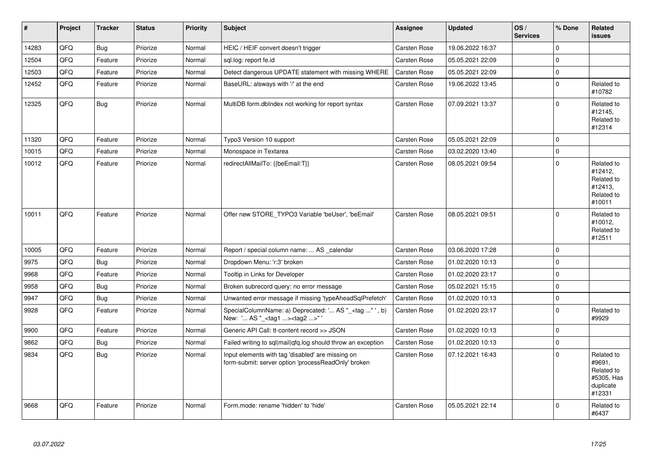| $\vert$ # | Project | <b>Tracker</b> | <b>Status</b> | <b>Priority</b> | <b>Subject</b>                                                                                           | Assignee            | <b>Updated</b>   | OS/<br><b>Services</b> | % Done      | Related<br><b>issues</b>                                                |
|-----------|---------|----------------|---------------|-----------------|----------------------------------------------------------------------------------------------------------|---------------------|------------------|------------------------|-------------|-------------------------------------------------------------------------|
| 14283     | QFQ     | Bug            | Priorize      | Normal          | HEIC / HEIF convert doesn't trigger                                                                      | Carsten Rose        | 19.06.2022 16:37 |                        | $\Omega$    |                                                                         |
| 12504     | QFQ     | Feature        | Priorize      | Normal          | sql.log: report fe.id                                                                                    | Carsten Rose        | 05.05.2021 22:09 |                        | $\mathbf 0$ |                                                                         |
| 12503     | QFQ     | Feature        | Priorize      | Normal          | Detect dangerous UPDATE statement with missing WHERE                                                     | <b>Carsten Rose</b> | 05.05.2021 22:09 |                        | $\mathsf 0$ |                                                                         |
| 12452     | QFQ     | Feature        | Priorize      | Normal          | BaseURL: alsways with '/' at the end                                                                     | Carsten Rose        | 19.06.2022 13:45 |                        | $\mathbf 0$ | Related to<br>#10782                                                    |
| 12325     | QFQ     | <b>Bug</b>     | Priorize      | Normal          | MultiDB form.dblndex not working for report syntax                                                       | Carsten Rose        | 07.09.2021 13:37 |                        | $\mathbf 0$ | Related to<br>#12145,<br>Related to<br>#12314                           |
| 11320     | QFQ     | Feature        | Priorize      | Normal          | Typo3 Version 10 support                                                                                 | Carsten Rose        | 05.05.2021 22:09 |                        | $\mathbf 0$ |                                                                         |
| 10015     | QFQ     | Feature        | Priorize      | Normal          | Monospace in Textarea                                                                                    | <b>Carsten Rose</b> | 03.02.2020 13:40 |                        | $\mathbf 0$ |                                                                         |
| 10012     | QFQ     | Feature        | Priorize      | Normal          | redirectAllMailTo: {{beEmail:T}}                                                                         | <b>Carsten Rose</b> | 08.05.2021 09:54 |                        | $\mathbf 0$ | Related to<br>#12412,<br>Related to<br>#12413,<br>Related to<br>#10011  |
| 10011     | QFQ     | Feature        | Priorize      | Normal          | Offer new STORE_TYPO3 Variable 'beUser', 'beEmail'                                                       | Carsten Rose        | 08.05.2021 09:51 |                        | $\mathbf 0$ | Related to<br>#10012,<br>Related to<br>#12511                           |
| 10005     | QFQ     | Feature        | Priorize      | Normal          | Report / special column name:  AS calendar                                                               | <b>Carsten Rose</b> | 03.06.2020 17:28 |                        | $\mathbf 0$ |                                                                         |
| 9975      | QFQ     | Bug            | Priorize      | Normal          | Dropdown Menu: 'r:3' broken                                                                              | <b>Carsten Rose</b> | 01.02.2020 10:13 |                        | $\mathbf 0$ |                                                                         |
| 9968      | QFQ     | Feature        | Priorize      | Normal          | Tooltip in Links for Developer                                                                           | Carsten Rose        | 01.02.2020 23:17 |                        | $\mathsf 0$ |                                                                         |
| 9958      | QFQ     | <b>Bug</b>     | Priorize      | Normal          | Broken subrecord query: no error message                                                                 | <b>Carsten Rose</b> | 05.02.2021 15:15 |                        | $\pmb{0}$   |                                                                         |
| 9947      | QFQ     | <b>Bug</b>     | Priorize      | Normal          | Unwanted error message if missing 'typeAheadSqlPrefetch'                                                 | Carsten Rose        | 01.02.2020 10:13 |                        | $\mathbf 0$ |                                                                         |
| 9928      | QFQ     | Feature        | Priorize      | Normal          | SpecialColumnName: a) Deprecated: ' AS "_+tag " ', b)<br>New: ' AS "_ <tag1><tag2>"</tag2></tag1>        | Carsten Rose        | 01.02.2020 23:17 |                        | $\mathbf 0$ | Related to<br>#9929                                                     |
| 9900      | QFQ     | Feature        | Priorize      | Normal          | Generic API Call: tt-content record >> JSON                                                              | Carsten Rose        | 01.02.2020 10:13 |                        | $\mathbf 0$ |                                                                         |
| 9862      | QFQ     | <b>Bug</b>     | Priorize      | Normal          | Failed writing to sql mail qfq.log should throw an exception                                             | <b>Carsten Rose</b> | 01.02.2020 10:13 |                        | $\mathbf 0$ |                                                                         |
| 9834      | QFQ     | <b>Bug</b>     | Priorize      | Normal          | Input elements with tag 'disabled' are missing on<br>form-submit: server option 'processReadOnly' broken | Carsten Rose        | 07.12.2021 16:43 |                        | $\Omega$    | Related to<br>#9691,<br>Related to<br>#5305, Has<br>duplicate<br>#12331 |
| 9668      | QFQ     | Feature        | Priorize      | Normal          | Form.mode: rename 'hidden' to 'hide'                                                                     | Carsten Rose        | 05.05.2021 22:14 |                        | $\Omega$    | Related to<br>#6437                                                     |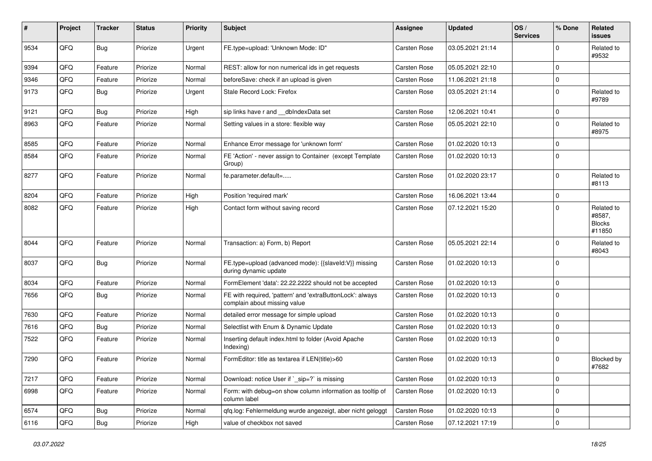| ∦    | Project | <b>Tracker</b> | <b>Status</b> | <b>Priority</b> | <b>Subject</b>                                                                            | <b>Assignee</b>     | <b>Updated</b>   | OS/<br><b>Services</b> | % Done       | Related<br>issues                               |
|------|---------|----------------|---------------|-----------------|-------------------------------------------------------------------------------------------|---------------------|------------------|------------------------|--------------|-------------------------------------------------|
| 9534 | QFQ     | Bug            | Priorize      | Urgent          | FE.type=upload: 'Unknown Mode: ID"                                                        | Carsten Rose        | 03.05.2021 21:14 |                        | <sup>0</sup> | Related to<br>#9532                             |
| 9394 | QFQ     | Feature        | Priorize      | Normal          | REST: allow for non numerical ids in get requests                                         | <b>Carsten Rose</b> | 05.05.2021 22:10 |                        | $\Omega$     |                                                 |
| 9346 | QFQ     | Feature        | Priorize      | Normal          | beforeSave: check if an upload is given                                                   | Carsten Rose        | 11.06.2021 21:18 |                        | $\Omega$     |                                                 |
| 9173 | QFQ     | Bug            | Priorize      | Urgent          | Stale Record Lock: Firefox                                                                | <b>Carsten Rose</b> | 03.05.2021 21:14 |                        | $\Omega$     | Related to<br>#9789                             |
| 9121 | QFQ     | Bug            | Priorize      | High            | sip links have r and __dbIndexData set                                                    | <b>Carsten Rose</b> | 12.06.2021 10:41 |                        | $\mathbf 0$  |                                                 |
| 8963 | QFQ     | Feature        | Priorize      | Normal          | Setting values in a store: flexible way                                                   | <b>Carsten Rose</b> | 05.05.2021 22:10 |                        | $\Omega$     | Related to<br>#8975                             |
| 8585 | QFQ     | Feature        | Priorize      | Normal          | Enhance Error message for 'unknown form'                                                  | <b>Carsten Rose</b> | 01.02.2020 10:13 |                        | $\Omega$     |                                                 |
| 8584 | QFQ     | Feature        | Priorize      | Normal          | FE 'Action' - never assign to Container (except Template<br>Group)                        | <b>Carsten Rose</b> | 01.02.2020 10:13 |                        | $\Omega$     |                                                 |
| 8277 | QFQ     | Feature        | Priorize      | Normal          | fe.parameter.default=                                                                     | <b>Carsten Rose</b> | 01.02.2020 23:17 |                        | $\Omega$     | Related to<br>#8113                             |
| 8204 | QFQ     | Feature        | Priorize      | High            | Position 'required mark'                                                                  | <b>Carsten Rose</b> | 16.06.2021 13:44 |                        | $\mathbf 0$  |                                                 |
| 8082 | QFQ     | Feature        | Priorize      | High            | Contact form without saving record                                                        | Carsten Rose        | 07.12.2021 15:20 |                        | 0            | Related to<br>#8587,<br><b>Blocks</b><br>#11850 |
| 8044 | QFQ     | Feature        | Priorize      | Normal          | Transaction: a) Form, b) Report                                                           | <b>Carsten Rose</b> | 05.05.2021 22:14 |                        | $\Omega$     | Related to<br>#8043                             |
| 8037 | QFQ     | Bug            | Priorize      | Normal          | FE.type=upload (advanced mode): {{slaveld:V}} missing<br>during dynamic update            | <b>Carsten Rose</b> | 01.02.2020 10:13 |                        | $\Omega$     |                                                 |
| 8034 | QFQ     | Feature        | Priorize      | Normal          | FormElement 'data': 22.22.2222 should not be accepted                                     | <b>Carsten Rose</b> | 01.02.2020 10:13 |                        | $\mathbf 0$  |                                                 |
| 7656 | QFQ     | Bug            | Priorize      | Normal          | FE with required, 'pattern' and 'extraButtonLock': always<br>complain about missing value | Carsten Rose        | 01.02.2020 10:13 |                        | $\Omega$     |                                                 |
| 7630 | QFQ     | Feature        | Priorize      | Normal          | detailed error message for simple upload                                                  | <b>Carsten Rose</b> | 01.02.2020 10:13 |                        | $\Omega$     |                                                 |
| 7616 | QFQ     | Bug            | Priorize      | Normal          | Selectlist with Enum & Dynamic Update                                                     | <b>Carsten Rose</b> | 01.02.2020 10:13 |                        | $\Omega$     |                                                 |
| 7522 | QFQ     | Feature        | Priorize      | Normal          | Inserting default index.html to folder (Avoid Apache<br>Indexing)                         | Carsten Rose        | 01.02.2020 10:13 |                        | $\mathbf 0$  |                                                 |
| 7290 | QFQ     | Feature        | Priorize      | Normal          | FormEditor: title as textarea if LEN(title)>60                                            | <b>Carsten Rose</b> | 01.02.2020 10:13 |                        | $\mathbf 0$  | Blocked by<br>#7682                             |
| 7217 | QFQ     | Feature        | Priorize      | Normal          | Download: notice User if `_sip=?` is missing                                              | Carsten Rose        | 01.02.2020 10:13 |                        | $\mathbf 0$  |                                                 |
| 6998 | QFQ     | Feature        | Priorize      | Normal          | Form: with debug=on show column information as tooltip of<br>column label                 | <b>Carsten Rose</b> | 01.02.2020 10:13 |                        | $\Omega$     |                                                 |
| 6574 | QFQ     | <b>Bug</b>     | Priorize      | Normal          | qfq.log: Fehlermeldung wurde angezeigt, aber nicht geloggt                                | Carsten Rose        | 01.02.2020 10:13 |                        | $\mathbf 0$  |                                                 |
| 6116 | QFQ     | Bug            | Priorize      | High            | value of checkbox not saved                                                               | Carsten Rose        | 07.12.2021 17:19 |                        | $\mathbf 0$  |                                                 |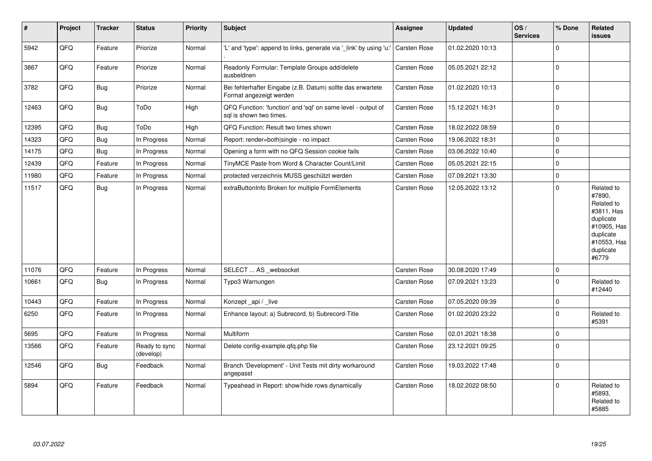| #     | Project | <b>Tracker</b> | <b>Status</b>              | <b>Priority</b> | <b>Subject</b>                                                                          | <b>Assignee</b>     | <b>Updated</b>   | OS/<br><b>Services</b> | % Done      | Related<br><b>issues</b>                                                                                                       |
|-------|---------|----------------|----------------------------|-----------------|-----------------------------------------------------------------------------------------|---------------------|------------------|------------------------|-------------|--------------------------------------------------------------------------------------------------------------------------------|
| 5942  | QFQ     | Feature        | Priorize                   | Normal          | 'L' and 'type': append to links, generate via '_link' by using 'u:'                     | <b>Carsten Rose</b> | 01.02.2020 10:13 |                        | $\Omega$    |                                                                                                                                |
| 3867  | QFQ     | Feature        | Priorize                   | Normal          | Readonly Formular: Template Groups add/delete<br>ausbeldnen                             | Carsten Rose        | 05.05.2021 22:12 |                        | $\Omega$    |                                                                                                                                |
| 3782  | QFQ     | Bug            | Priorize                   | Normal          | Bei fehlerhafter Eingabe (z.B. Datum) sollte das erwartete<br>Format angezeigt werden   | <b>Carsten Rose</b> | 01.02.2020 10:13 |                        | 0           |                                                                                                                                |
| 12463 | QFQ     | Bug            | ToDo                       | High            | QFQ Function: 'function' and 'sql' on same level - output of<br>sql is shown two times. | Carsten Rose        | 15.12.2021 16:31 |                        | $\mathbf 0$ |                                                                                                                                |
| 12395 | QFQ     | Bug            | ToDo                       | High            | QFQ Function: Result two times shown                                                    | Carsten Rose        | 18.02.2022 08:59 |                        | $\mathbf 0$ |                                                                                                                                |
| 14323 | QFQ     | Bug            | In Progress                | Normal          | Report: render=both single - no impact                                                  | Carsten Rose        | 19.06.2022 18:31 |                        | $\mathbf 0$ |                                                                                                                                |
| 14175 | QFQ     | Bug            | In Progress                | Normal          | Opening a form with no QFQ Session cookie fails                                         | Carsten Rose        | 03.06.2022 10:40 |                        | $\mathbf 0$ |                                                                                                                                |
| 12439 | QFQ     | Feature        | In Progress                | Normal          | TinyMCE Paste from Word & Character Count/Limit                                         | Carsten Rose        | 05.05.2021 22:15 |                        | $\mathbf 0$ |                                                                                                                                |
| 11980 | QFQ     | Feature        | In Progress                | Normal          | protected verzeichnis MUSS geschützt werden                                             | <b>Carsten Rose</b> | 07.09.2021 13:30 |                        | $\Omega$    |                                                                                                                                |
| 11517 | QFQ     | Bug            | In Progress                | Normal          | extraButtonInfo Broken for multiple FormElements                                        | <b>Carsten Rose</b> | 12.05.2022 13:12 |                        | $\Omega$    | Related to<br>#7890,<br>Related to<br>#3811, Has<br>duplicate<br>#10905, Has<br>duplicate<br>#10553, Has<br>duplicate<br>#6779 |
| 11076 | QFQ     | Feature        | In Progress                | Normal          | SELECT  AS _websocket                                                                   | <b>Carsten Rose</b> | 30.08.2020 17:49 |                        | $\mathbf 0$ |                                                                                                                                |
| 10661 | QFQ     | Bug            | In Progress                | Normal          | Typo3 Warnungen                                                                         | Carsten Rose        | 07.09.2021 13:23 |                        | $\Omega$    | Related to<br>#12440                                                                                                           |
| 10443 | QFQ     | Feature        | In Progress                | Normal          | Konzept api / live                                                                      | Carsten Rose        | 07.05.2020 09:39 |                        | $\mathbf 0$ |                                                                                                                                |
| 6250  | QFQ     | Feature        | In Progress                | Normal          | Enhance layout: a) Subrecord, b) Subrecord-Title                                        | Carsten Rose        | 01.02.2020 23:22 |                        | $\Omega$    | Related to<br>#5391                                                                                                            |
| 5695  | QFQ     | Feature        | In Progress                | Normal          | Multiform                                                                               | Carsten Rose        | 02.01.2021 18:38 |                        | $\mathbf 0$ |                                                                                                                                |
| 13566 | QFQ     | Feature        | Ready to sync<br>(develop) | Normal          | Delete config-example.gfg.php file                                                      | <b>Carsten Rose</b> | 23.12.2021 09:25 |                        | $\Omega$    |                                                                                                                                |
| 12546 | QFQ     | Bug            | Feedback                   | Normal          | Branch 'Development' - Unit Tests mit dirty workaround<br>angepasst                     | <b>Carsten Rose</b> | 19.03.2022 17:48 |                        | $\Omega$    |                                                                                                                                |
| 5894  | QFQ     | Feature        | Feedback                   | Normal          | Typeahead in Report: show/hide rows dynamically                                         | <b>Carsten Rose</b> | 18.02.2022 08:50 |                        | $\Omega$    | Related to<br>#5893.<br>Related to<br>#5885                                                                                    |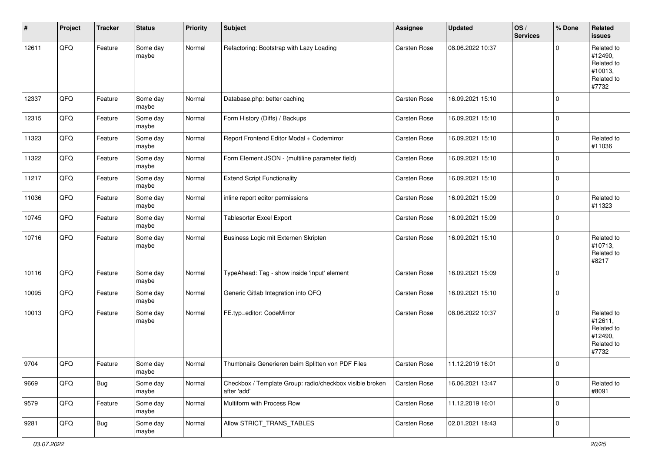| #     | Project | <b>Tracker</b> | <b>Status</b>     | <b>Priority</b> | <b>Subject</b>                                                          | Assignee            | <b>Updated</b>   | OS/<br><b>Services</b> | % Done      | Related<br>issues                                                     |
|-------|---------|----------------|-------------------|-----------------|-------------------------------------------------------------------------|---------------------|------------------|------------------------|-------------|-----------------------------------------------------------------------|
| 12611 | QFQ     | Feature        | Some day<br>maybe | Normal          | Refactoring: Bootstrap with Lazy Loading                                | Carsten Rose        | 08.06.2022 10:37 |                        | $\Omega$    | Related to<br>#12490,<br>Related to<br>#10013,<br>Related to<br>#7732 |
| 12337 | QFQ     | Feature        | Some day<br>maybe | Normal          | Database.php: better caching                                            | Carsten Rose        | 16.09.2021 15:10 |                        | $\mathbf 0$ |                                                                       |
| 12315 | QFQ     | Feature        | Some day<br>maybe | Normal          | Form History (Diffs) / Backups                                          | Carsten Rose        | 16.09.2021 15:10 |                        | $\mathbf 0$ |                                                                       |
| 11323 | QFQ     | Feature        | Some day<br>maybe | Normal          | Report Frontend Editor Modal + Codemirror                               | Carsten Rose        | 16.09.2021 15:10 |                        | $\Omega$    | Related to<br>#11036                                                  |
| 11322 | QFQ     | Feature        | Some day<br>maybe | Normal          | Form Element JSON - (multiline parameter field)                         | Carsten Rose        | 16.09.2021 15:10 |                        | $\mathbf 0$ |                                                                       |
| 11217 | QFQ     | Feature        | Some day<br>maybe | Normal          | <b>Extend Script Functionality</b>                                      | Carsten Rose        | 16.09.2021 15:10 |                        | 0           |                                                                       |
| 11036 | QFQ     | Feature        | Some day<br>maybe | Normal          | inline report editor permissions                                        | <b>Carsten Rose</b> | 16.09.2021 15:09 |                        | $\Omega$    | Related to<br>#11323                                                  |
| 10745 | QFQ     | Feature        | Some day<br>maybe | Normal          | <b>Tablesorter Excel Export</b>                                         | Carsten Rose        | 16.09.2021 15:09 |                        | $\mathbf 0$ |                                                                       |
| 10716 | QFQ     | Feature        | Some day<br>maybe | Normal          | Business Logic mit Externen Skripten                                    | <b>Carsten Rose</b> | 16.09.2021 15:10 |                        | $\Omega$    | Related to<br>#10713,<br>Related to<br>#8217                          |
| 10116 | QFQ     | Feature        | Some day<br>maybe | Normal          | TypeAhead: Tag - show inside 'input' element                            | Carsten Rose        | 16.09.2021 15:09 |                        | $\Omega$    |                                                                       |
| 10095 | QFQ     | Feature        | Some day<br>maybe | Normal          | Generic Gitlab Integration into QFQ                                     | Carsten Rose        | 16.09.2021 15:10 |                        | $\mathbf 0$ |                                                                       |
| 10013 | QFQ     | Feature        | Some day<br>maybe | Normal          | FE.typ=editor: CodeMirror                                               | Carsten Rose        | 08.06.2022 10:37 |                        | $\Omega$    | Related to<br>#12611,<br>Related to<br>#12490,<br>Related to<br>#7732 |
| 9704  | QFQ     | Feature        | Some day<br>maybe | Normal          | Thumbnails Generieren beim Splitten von PDF Files                       | Carsten Rose        | 11.12.2019 16:01 |                        | $\mathbf 0$ |                                                                       |
| 9669  | QFQ     | Bug            | Some day<br>maybe | Normal          | Checkbox / Template Group: radio/checkbox visible broken<br>after 'add' | Carsten Rose        | 16.06.2021 13:47 |                        | $\mathbf 0$ | Related to<br>#8091                                                   |
| 9579  | QFQ     | Feature        | Some day<br>maybe | Normal          | Multiform with Process Row                                              | Carsten Rose        | 11.12.2019 16:01 |                        | $\mathbf 0$ |                                                                       |
| 9281  | QFQ     | <b>Bug</b>     | Some day<br>maybe | Normal          | Allow STRICT_TRANS_TABLES                                               | Carsten Rose        | 02.01.2021 18:43 |                        | $\mathbf 0$ |                                                                       |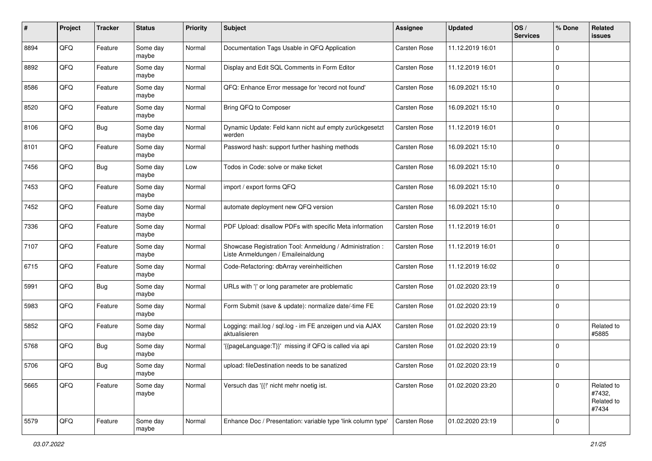| #    | Project | <b>Tracker</b> | <b>Status</b>     | <b>Priority</b> | <b>Subject</b>                                                                                 | <b>Assignee</b>     | <b>Updated</b>   | OS/<br><b>Services</b> | % Done      | <b>Related</b><br>issues                    |
|------|---------|----------------|-------------------|-----------------|------------------------------------------------------------------------------------------------|---------------------|------------------|------------------------|-------------|---------------------------------------------|
| 8894 | QFQ     | Feature        | Some day<br>maybe | Normal          | Documentation Tags Usable in QFQ Application                                                   | <b>Carsten Rose</b> | 11.12.2019 16:01 |                        | $\mathbf 0$ |                                             |
| 8892 | QFQ     | Feature        | Some day<br>maybe | Normal          | Display and Edit SQL Comments in Form Editor                                                   | <b>Carsten Rose</b> | 11.12.2019 16:01 |                        | $\mathbf 0$ |                                             |
| 8586 | QFQ     | Feature        | Some day<br>maybe | Normal          | QFQ: Enhance Error message for 'record not found'                                              | Carsten Rose        | 16.09.2021 15:10 |                        | 0           |                                             |
| 8520 | QFQ     | Feature        | Some day<br>maybe | Normal          | Bring QFQ to Composer                                                                          | Carsten Rose        | 16.09.2021 15:10 |                        | $\mathbf 0$ |                                             |
| 8106 | QFQ     | <b>Bug</b>     | Some day<br>maybe | Normal          | Dynamic Update: Feld kann nicht auf empty zurückgesetzt<br>werden                              | Carsten Rose        | 11.12.2019 16:01 |                        | $\mathbf 0$ |                                             |
| 8101 | QFQ     | Feature        | Some day<br>maybe | Normal          | Password hash: support further hashing methods                                                 | Carsten Rose        | 16.09.2021 15:10 |                        | $\mathbf 0$ |                                             |
| 7456 | QFQ     | <b>Bug</b>     | Some day<br>maybe | Low             | Todos in Code: solve or make ticket                                                            | <b>Carsten Rose</b> | 16.09.2021 15:10 |                        | $\mathbf 0$ |                                             |
| 7453 | QFQ     | Feature        | Some day<br>maybe | Normal          | import / export forms QFQ                                                                      | <b>Carsten Rose</b> | 16.09.2021 15:10 |                        | $\mathbf 0$ |                                             |
| 7452 | QFQ     | Feature        | Some day<br>maybe | Normal          | automate deployment new QFQ version                                                            | <b>Carsten Rose</b> | 16.09.2021 15:10 |                        | 0           |                                             |
| 7336 | QFQ     | Feature        | Some day<br>maybe | Normal          | PDF Upload: disallow PDFs with specific Meta information                                       | Carsten Rose        | 11.12.2019 16:01 |                        | 0           |                                             |
| 7107 | QFQ     | Feature        | Some day<br>maybe | Normal          | Showcase Registration Tool: Anmeldung / Administration :<br>Liste Anmeldungen / Emaileinaldung | Carsten Rose        | 11.12.2019 16:01 |                        | $\mathbf 0$ |                                             |
| 6715 | QFQ     | Feature        | Some day<br>maybe | Normal          | Code-Refactoring: dbArray vereinheitlichen                                                     | Carsten Rose        | 11.12.2019 16:02 |                        | 0           |                                             |
| 5991 | QFQ     | Bug            | Some day<br>maybe | Normal          | URLs with ' ' or long parameter are problematic                                                | <b>Carsten Rose</b> | 01.02.2020 23:19 |                        | $\mathbf 0$ |                                             |
| 5983 | QFQ     | Feature        | Some day<br>maybe | Normal          | Form Submit (save & update): normalize date/-time FE                                           | <b>Carsten Rose</b> | 01.02.2020 23:19 |                        | $\mathbf 0$ |                                             |
| 5852 | QFQ     | Feature        | Some day<br>maybe | Normal          | Logging: mail.log / sql.log - im FE anzeigen und via AJAX<br>aktualisieren                     | <b>Carsten Rose</b> | 01.02.2020 23:19 |                        | $\mathbf 0$ | Related to<br>#5885                         |
| 5768 | QFQ     | Bug            | Some day<br>maybe | Normal          | '{{pageLanguage:T}}' missing if QFQ is called via api                                          | <b>Carsten Rose</b> | 01.02.2020 23:19 |                        | 0           |                                             |
| 5706 | QFQ     | Bug            | Some day<br>maybe | Normal          | upload: fileDestination needs to be sanatized                                                  | <b>Carsten Rose</b> | 01.02.2020 23:19 |                        | $\mathbf 0$ |                                             |
| 5665 | QFQ     | Feature        | Some day<br>maybe | Normal          | Versuch das '{{" nicht mehr noetig ist.                                                        | Carsten Rose        | 01.02.2020 23:20 |                        | $\mathbf 0$ | Related to<br>#7432,<br>Related to<br>#7434 |
| 5579 | QFQ     | Feature        | Some day<br>maybe | Normal          | Enhance Doc / Presentation: variable type 'link column type'                                   | <b>Carsten Rose</b> | 01.02.2020 23:19 |                        | 0           |                                             |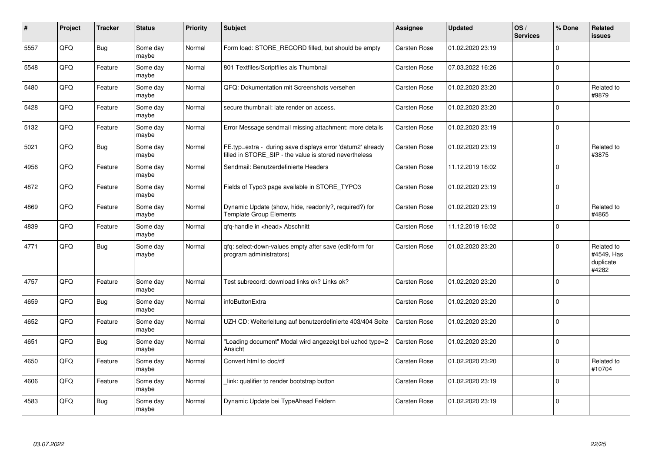| $\vert$ # | Project | <b>Tracker</b> | <b>Status</b>     | <b>Priority</b> | <b>Subject</b>                                                                                                       | Assignee            | <b>Updated</b>   | OS/<br><b>Services</b> | % Done      | Related<br><b>issues</b>                       |
|-----------|---------|----------------|-------------------|-----------------|----------------------------------------------------------------------------------------------------------------------|---------------------|------------------|------------------------|-------------|------------------------------------------------|
| 5557      | QFQ     | Bug            | Some day<br>maybe | Normal          | Form load: STORE_RECORD filled, but should be empty                                                                  | Carsten Rose        | 01.02.2020 23:19 |                        | $\Omega$    |                                                |
| 5548      | QFQ     | Feature        | Some day<br>maybe | Normal          | 801 Textfiles/Scriptfiles als Thumbnail                                                                              | <b>Carsten Rose</b> | 07.03.2022 16:26 |                        | $\Omega$    |                                                |
| 5480      | QFQ     | Feature        | Some day<br>maybe | Normal          | QFQ: Dokumentation mit Screenshots versehen                                                                          | <b>Carsten Rose</b> | 01.02.2020 23:20 |                        | $\mathbf 0$ | Related to<br>#9879                            |
| 5428      | QFQ     | Feature        | Some day<br>maybe | Normal          | secure thumbnail: late render on access.                                                                             | Carsten Rose        | 01.02.2020 23:20 |                        | $\Omega$    |                                                |
| 5132      | QFQ     | Feature        | Some day<br>maybe | Normal          | Error Message sendmail missing attachment: more details                                                              | <b>Carsten Rose</b> | 01.02.2020 23:19 |                        | $\Omega$    |                                                |
| 5021      | QFQ     | Bug            | Some day<br>maybe | Normal          | FE.typ=extra - during save displays error 'datum2' already<br>filled in STORE_SIP - the value is stored nevertheless | Carsten Rose        | 01.02.2020 23:19 |                        | $\Omega$    | Related to<br>#3875                            |
| 4956      | QFQ     | Feature        | Some day<br>maybe | Normal          | Sendmail: Benutzerdefinierte Headers                                                                                 | Carsten Rose        | 11.12.2019 16:02 |                        | $\Omega$    |                                                |
| 4872      | QFQ     | Feature        | Some day<br>maybe | Normal          | Fields of Typo3 page available in STORE TYPO3                                                                        | Carsten Rose        | 01.02.2020 23:19 |                        | $\Omega$    |                                                |
| 4869      | QFQ     | Feature        | Some day<br>maybe | Normal          | Dynamic Update (show, hide, readonly?, required?) for<br><b>Template Group Elements</b>                              | <b>Carsten Rose</b> | 01.02.2020 23:19 |                        | $\Omega$    | Related to<br>#4865                            |
| 4839      | QFQ     | Feature        | Some day<br>maybe | Normal          | gfg-handle in <head> Abschnitt</head>                                                                                | Carsten Rose        | 11.12.2019 16:02 |                        | $\Omega$    |                                                |
| 4771      | QFQ     | Bug            | Some day<br>maybe | Normal          | qfq: select-down-values empty after save (edit-form for<br>program administrators)                                   | Carsten Rose        | 01.02.2020 23:20 |                        | $\Omega$    | Related to<br>#4549, Has<br>duplicate<br>#4282 |
| 4757      | QFQ     | Feature        | Some day<br>maybe | Normal          | Test subrecord: download links ok? Links ok?                                                                         | Carsten Rose        | 01.02.2020 23:20 |                        | $\Omega$    |                                                |
| 4659      | QFQ     | <b>Bug</b>     | Some day<br>maybe | Normal          | infoButtonExtra                                                                                                      | Carsten Rose        | 01.02.2020 23:20 |                        | $\Omega$    |                                                |
| 4652      | QFQ     | Feature        | Some day<br>maybe | Normal          | UZH CD: Weiterleitung auf benutzerdefinierte 403/404 Seite                                                           | <b>Carsten Rose</b> | 01.02.2020 23:20 |                        | $\Omega$    |                                                |
| 4651      | QFQ     | Bug            | Some day<br>maybe | Normal          | "Loading document" Modal wird angezeigt bei uzhcd type=2<br>Ansicht                                                  | <b>Carsten Rose</b> | 01.02.2020 23:20 |                        | $\Omega$    |                                                |
| 4650      | QFQ     | Feature        | Some day<br>maybe | Normal          | Convert html to doc/rtf                                                                                              | Carsten Rose        | 01.02.2020 23:20 |                        | $\Omega$    | Related to<br>#10704                           |
| 4606      | QFQ     | Feature        | Some day<br>maybe | Normal          | link: qualifier to render bootstrap button                                                                           | Carsten Rose        | 01.02.2020 23:19 |                        | $\Omega$    |                                                |
| 4583      | QFQ     | <b>Bug</b>     | Some day<br>maybe | Normal          | Dynamic Update bei TypeAhead Feldern                                                                                 | Carsten Rose        | 01.02.2020 23:19 |                        | $\Omega$    |                                                |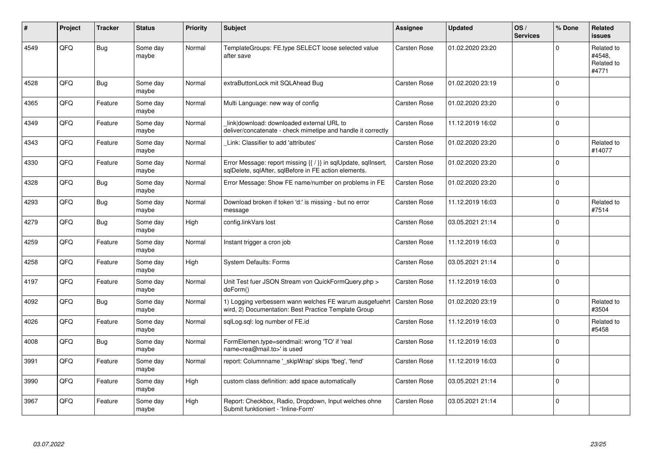| ∦    | Project | <b>Tracker</b> | <b>Status</b>     | <b>Priority</b> | <b>Subject</b>                                                                                                          | <b>Assignee</b>     | <b>Updated</b>   | OS/<br><b>Services</b> | % Done      | Related<br>issues                           |
|------|---------|----------------|-------------------|-----------------|-------------------------------------------------------------------------------------------------------------------------|---------------------|------------------|------------------------|-------------|---------------------------------------------|
| 4549 | QFQ     | Bug            | Some day<br>maybe | Normal          | TemplateGroups: FE.type SELECT loose selected value<br>after save                                                       | Carsten Rose        | 01.02.2020 23:20 |                        | $\Omega$    | Related to<br>#4548,<br>Related to<br>#4771 |
| 4528 | QFQ     | Bug            | Some day<br>maybe | Normal          | extraButtonLock mit SQLAhead Bug                                                                                        | <b>Carsten Rose</b> | 01.02.2020 23:19 |                        | $\Omega$    |                                             |
| 4365 | QFQ     | Feature        | Some day<br>maybe | Normal          | Multi Language: new way of config                                                                                       | <b>Carsten Rose</b> | 01.02.2020 23:20 |                        | $\Omega$    |                                             |
| 4349 | QFQ     | Feature        | Some day<br>maybe | Normal          | link download: downloaded external URL to<br>deliver/concatenate - check mimetipe and handle it correctly               | Carsten Rose        | 11.12.2019 16:02 |                        | $\Omega$    |                                             |
| 4343 | QFQ     | Feature        | Some day<br>maybe | Normal          | Link: Classifier to add 'attributes'                                                                                    | <b>Carsten Rose</b> | 01.02.2020 23:20 |                        | $\Omega$    | Related to<br>#14077                        |
| 4330 | QFQ     | Feature        | Some day<br>maybe | Normal          | Error Message: report missing {{ / }} in sqlUpdate, sqlInsert,<br>sqlDelete, sqlAfter, sqlBefore in FE action elements. | <b>Carsten Rose</b> | 01.02.2020 23:20 |                        | $\Omega$    |                                             |
| 4328 | QFQ     | Bug            | Some day<br>maybe | Normal          | Error Message: Show FE name/number on problems in FE                                                                    | <b>Carsten Rose</b> | 01.02.2020 23:20 |                        | $\Omega$    |                                             |
| 4293 | QFQ     | Bug            | Some day<br>maybe | Normal          | Download broken if token 'd:' is missing - but no error<br>message                                                      | <b>Carsten Rose</b> | 11.12.2019 16:03 |                        | $\Omega$    | Related to<br>#7514                         |
| 4279 | QFQ     | Bug            | Some day<br>maybe | High            | config.linkVars lost                                                                                                    | <b>Carsten Rose</b> | 03.05.2021 21:14 |                        | $\Omega$    |                                             |
| 4259 | QFQ     | Feature        | Some day<br>maybe | Normal          | Instant trigger a cron job                                                                                              | <b>Carsten Rose</b> | 11.12.2019 16:03 |                        | $\Omega$    |                                             |
| 4258 | QFQ     | Feature        | Some day<br>maybe | High            | <b>System Defaults: Forms</b>                                                                                           | <b>Carsten Rose</b> | 03.05.2021 21:14 |                        | $\mathbf 0$ |                                             |
| 4197 | QFQ     | Feature        | Some day<br>maybe | Normal          | Unit Test fuer JSON Stream von QuickFormQuery.php ><br>doForm()                                                         | <b>Carsten Rose</b> | 11.12.2019 16:03 |                        | $\Omega$    |                                             |
| 4092 | QFQ     | Bug            | Some day<br>maybe | Normal          | 1) Logging verbessern wann welches FE warum ausgefuehrt<br>wird, 2) Documentation: Best Practice Template Group         | <b>Carsten Rose</b> | 01.02.2020 23:19 |                        | $\Omega$    | Related to<br>#3504                         |
| 4026 | QFQ     | Feature        | Some day<br>maybe | Normal          | sglLog.sgl: log number of FE.id                                                                                         | <b>Carsten Rose</b> | 11.12.2019 16:03 |                        | $\Omega$    | Related to<br>#5458                         |
| 4008 | QFQ     | Bug            | Some day<br>maybe | Normal          | FormElemen.type=sendmail: wrong 'TO' if 'real<br>name <rea@mail.to>' is used</rea@mail.to>                              | <b>Carsten Rose</b> | 11.12.2019 16:03 |                        | $\Omega$    |                                             |
| 3991 | QFQ     | Feature        | Some day<br>maybe | Normal          | report: Columnname ' skipWrap' skips 'fbeg', 'fend'                                                                     | Carsten Rose        | 11.12.2019 16:03 |                        | $\Omega$    |                                             |
| 3990 | QFQ     | Feature        | Some day<br>maybe | High            | custom class definition: add space automatically                                                                        | <b>Carsten Rose</b> | 03.05.2021 21:14 |                        | $\Omega$    |                                             |
| 3967 | QFQ     | Feature        | Some day<br>maybe | High            | Report: Checkbox, Radio, Dropdown, Input welches ohne<br>Submit funktioniert - 'Inline-Form'                            | Carsten Rose        | 03.05.2021 21:14 |                        | $\mathbf 0$ |                                             |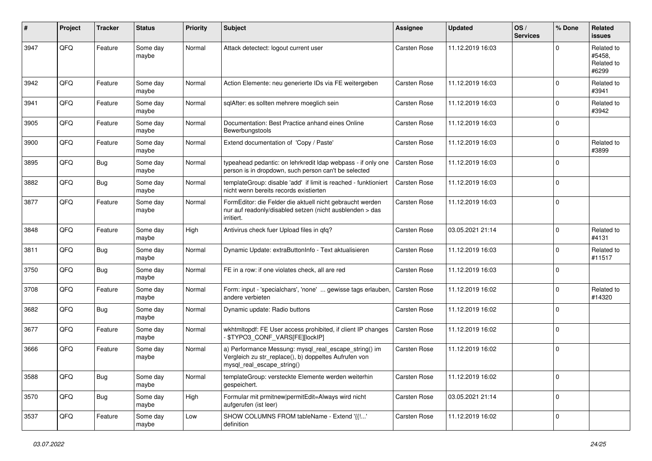| #    | Project | <b>Tracker</b> | <b>Status</b>     | <b>Priority</b> | <b>Subject</b>                                                                                                                               | <b>Assignee</b>     | <b>Updated</b>   | OS/<br><b>Services</b> | % Done      | Related<br><b>issues</b>                    |
|------|---------|----------------|-------------------|-----------------|----------------------------------------------------------------------------------------------------------------------------------------------|---------------------|------------------|------------------------|-------------|---------------------------------------------|
| 3947 | QFQ     | Feature        | Some day<br>maybe | Normal          | Attack detectect: logout current user                                                                                                        | Carsten Rose        | 11.12.2019 16:03 |                        | $\Omega$    | Related to<br>#5458,<br>Related to<br>#6299 |
| 3942 | QFQ     | Feature        | Some day<br>maybe | Normal          | Action Elemente: neu generierte IDs via FE weitergeben                                                                                       | Carsten Rose        | 11.12.2019 16:03 |                        | $\Omega$    | Related to<br>#3941                         |
| 3941 | QFQ     | Feature        | Some day<br>maybe | Normal          | sqlAfter: es sollten mehrere moeglich sein                                                                                                   | Carsten Rose        | 11.12.2019 16:03 |                        | $\Omega$    | Related to<br>#3942                         |
| 3905 | QFQ     | Feature        | Some day<br>maybe | Normal          | Documentation: Best Practice anhand eines Online<br>Bewerbungstools                                                                          | Carsten Rose        | 11.12.2019 16:03 |                        | $\mathbf 0$ |                                             |
| 3900 | QFQ     | Feature        | Some day<br>maybe | Normal          | Extend documentation of 'Copy / Paste'                                                                                                       | <b>Carsten Rose</b> | 11.12.2019 16:03 |                        | $\Omega$    | Related to<br>#3899                         |
| 3895 | QFQ     | Bug            | Some day<br>maybe | Normal          | typeahead pedantic: on lehrkredit Idap webpass - if only one<br>person is in dropdown, such person can't be selected                         | <b>Carsten Rose</b> | 11.12.2019 16:03 |                        | $\Omega$    |                                             |
| 3882 | QFQ     | Bug            | Some day<br>maybe | Normal          | templateGroup: disable 'add' if limit is reached - funktioniert<br>nicht wenn bereits records existierten                                    | <b>Carsten Rose</b> | 11.12.2019 16:03 |                        | $\Omega$    |                                             |
| 3877 | QFQ     | Feature        | Some day<br>maybe | Normal          | FormEditor: die Felder die aktuell nicht gebraucht werden<br>nur auf readonly/disabled setzen (nicht ausblenden > das<br>irritiert.          | Carsten Rose        | 11.12.2019 16:03 |                        | $\mathbf 0$ |                                             |
| 3848 | QFQ     | Feature        | Some day<br>maybe | High            | Antivirus check fuer Upload files in qfq?                                                                                                    | Carsten Rose        | 03.05.2021 21:14 |                        | $\Omega$    | Related to<br>#4131                         |
| 3811 | QFQ     | Bug            | Some day<br>maybe | Normal          | Dynamic Update: extraButtonInfo - Text aktualisieren                                                                                         | Carsten Rose        | 11.12.2019 16:03 |                        | $\Omega$    | Related to<br>#11517                        |
| 3750 | QFQ     | Bug            | Some day<br>maybe | Normal          | FE in a row: if one violates check, all are red                                                                                              | Carsten Rose        | 11.12.2019 16:03 |                        | $\Omega$    |                                             |
| 3708 | QFQ     | Feature        | Some day<br>maybe | Normal          | Form: input - 'specialchars', 'none'  gewisse tags erlauben,<br>andere verbieten                                                             | <b>Carsten Rose</b> | 11.12.2019 16:02 |                        | $\Omega$    | Related to<br>#14320                        |
| 3682 | QFQ     | Bug            | Some day<br>maybe | Normal          | Dynamic update: Radio buttons                                                                                                                | Carsten Rose        | 11.12.2019 16:02 |                        | $\mathbf 0$ |                                             |
| 3677 | QFQ     | Feature        | Some day<br>maybe | Normal          | wkhtmltopdf: FE User access prohibited, if client IP changes<br>- \$TYPO3_CONF_VARS[FE][lockIP]                                              | Carsten Rose        | 11.12.2019 16:02 |                        | $\Omega$    |                                             |
| 3666 | QFQ     | Feature        | Some day<br>maybe | Normal          | a) Performance Messung: mysql_real_escape_string() im<br>Vergleich zu str_replace(), b) doppeltes Aufrufen von<br>mysql_real_escape_string() | Carsten Rose        | 11.12.2019 16:02 |                        | $\Omega$    |                                             |
| 3588 | QFG     | <b>Bug</b>     | Some day<br>maybe | Normal          | templateGroup: versteckte Elemente werden weiterhin<br>gespeichert.                                                                          | Carsten Rose        | 11.12.2019 16:02 |                        | 0           |                                             |
| 3570 | QFQ     | <b>Bug</b>     | Some day<br>maybe | High            | Formular mit prmitnew permitEdit=Always wird nicht<br>aufgerufen (ist leer)                                                                  | Carsten Rose        | 03.05.2021 21:14 |                        | 0           |                                             |
| 3537 | QFQ     | Feature        | Some day<br>maybe | Low             | SHOW COLUMNS FROM tableName - Extend '{{!'<br>definition                                                                                     | Carsten Rose        | 11.12.2019 16:02 |                        | $\mathbf 0$ |                                             |